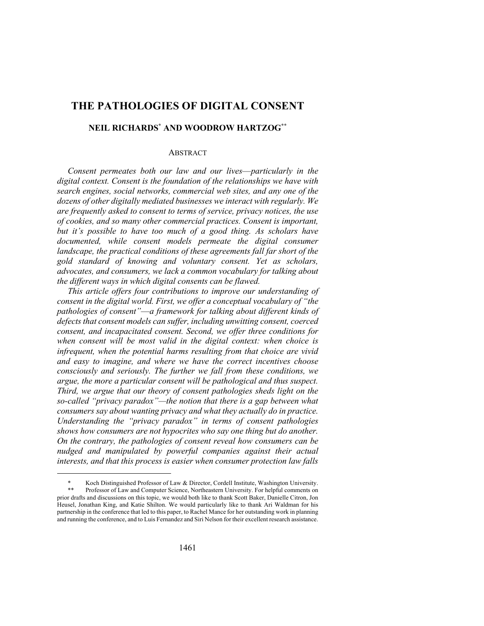# **THE PATHOLOGIES OF DIGITAL CONSENT**

## **NEIL RICHARDS\* AND WOODROW HARTZOG\*\***

### ABSTRACT

*Consent permeates both our law and our lives*—*particularly in the digital context. Consent is the foundation of the relationships we have with search engines, social networks, commercial web sites, and any one of the dozens of other digitally mediated businesses we interact with regularly. We are frequently asked to consent to terms of service, privacy notices, the use of cookies, and so many other commercial practices. Consent is important, but it's possible to have too much of a good thing. As scholars have documented, while consent models permeate the digital consumer landscape, the practical conditions of these agreements fall far short of the gold standard of knowing and voluntary consent. Yet as scholars, advocates, and consumers, we lack a common vocabulary for talking about the different ways in which digital consents can be flawed.*

*This article offers four contributions to improve our understanding of consent in the digital world. First, we offer a conceptual vocabulary of "the pathologies of consent"*—*a framework for talking about different kinds of defects that consent models can suffer, including unwitting consent, coerced consent, and incapacitated consent. Second, we offer three conditions for when consent will be most valid in the digital context: when choice is infrequent, when the potential harms resulting from that choice are vivid and easy to imagine, and where we have the correct incentives choose consciously and seriously. The further we fall from these conditions, we argue, the more a particular consent will be pathological and thus suspect. Third, we argue that our theory of consent pathologies sheds light on the so-called "privacy paradox"—the notion that there is a gap between what consumers say about wanting privacy and what they actually do in practice. Understanding the "privacy paradox" in terms of consent pathologies shows how consumers are not hypocrites who say one thing but do another. On the contrary, the pathologies of consent reveal how consumers can be nudged and manipulated by powerful companies against their actual interests, and that this process is easier when consumer protection law falls* 

Koch Distinguished Professor of Law & Director, Cordell Institute, Washington University. Professor of Law and Computer Science, Northeastern University. For helpful comments on prior drafts and discussions on this topic, we would both like to thank Scott Baker, Danielle Citron, Jon

Heusel, Jonathan King, and Katie Shilton. We would particularly like to thank Ari Waldman for his partnership in the conference that led to this paper, to Rachel Mance for her outstanding work in planning and running the conference, and to Luis Fernandez and Siri Nelson for their excellent research assistance.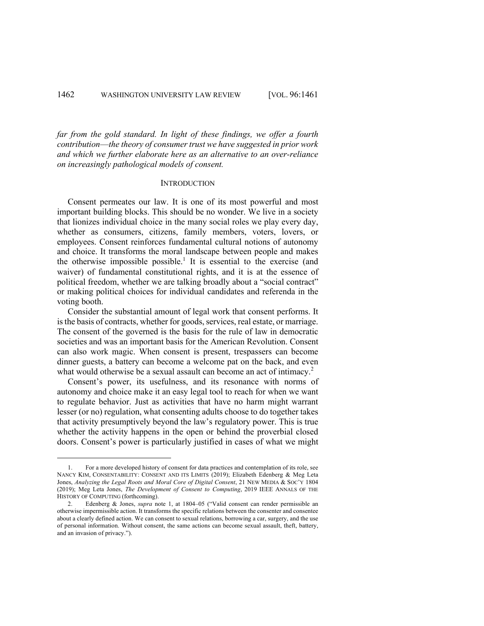*far from the gold standard. In light of these findings, we offer a fourth contribution*—*the theory of consumer trust we have suggested in prior work and which we further elaborate here as an alternative to an over-reliance on increasingly pathological models of consent.*

#### **INTRODUCTION**

Consent permeates our law. It is one of its most powerful and most important building blocks. This should be no wonder. We live in a society that lionizes individual choice in the many social roles we play every day, whether as consumers, citizens, family members, voters, lovers, or employees. Consent reinforces fundamental cultural notions of autonomy and choice. It transforms the moral landscape between people and makes the otherwise impossible possible.<sup>1</sup> It is essential to the exercise (and waiver) of fundamental constitutional rights, and it is at the essence of political freedom, whether we are talking broadly about a "social contract" or making political choices for individual candidates and referenda in the voting booth.

Consider the substantial amount of legal work that consent performs. It is the basis of contracts, whether for goods, services, real estate, or marriage. The consent of the governed is the basis for the rule of law in democratic societies and was an important basis for the American Revolution. Consent can also work magic. When consent is present, trespassers can become dinner guests, a battery can become a welcome pat on the back, and even what would otherwise be a sexual assault can become an act of intimacy.<sup>2</sup>

Consent's power, its usefulness, and its resonance with norms of autonomy and choice make it an easy legal tool to reach for when we want to regulate behavior. Just as activities that have no harm might warrant lesser (or no) regulation, what consenting adults choose to do together takes that activity presumptively beyond the law's regulatory power. This is true whether the activity happens in the open or behind the proverbial closed doors. Consent's power is particularly justified in cases of what we might

<sup>1.</sup> For a more developed history of consent for data practices and contemplation of its role, see NANCY KIM, CONSENTABILITY: CONSENT AND ITS LIMITS (2019); Elizabeth Edenberg & Meg Leta Jones, *Analyzing the Legal Roots and Moral Core of Digital Consent*, 21 NEW MEDIA & SOC'Y 1804 (2019); Meg Leta Jones, *The Development of Consent to Computing*, 2019 IEEE ANNALS OF THE HISTORY OF COMPUTING (forthcoming).

<sup>2.</sup> Edenberg & Jones, *supra* note 1, at 1804–05 ("Valid consent can render permissible an otherwise impermissible action. It transforms the specific relations between the consenter and consentee about a clearly defined action. We can consent to sexual relations, borrowing a car, surgery, and the use of personal information. Without consent, the same actions can become sexual assault, theft, battery, and an invasion of privacy.").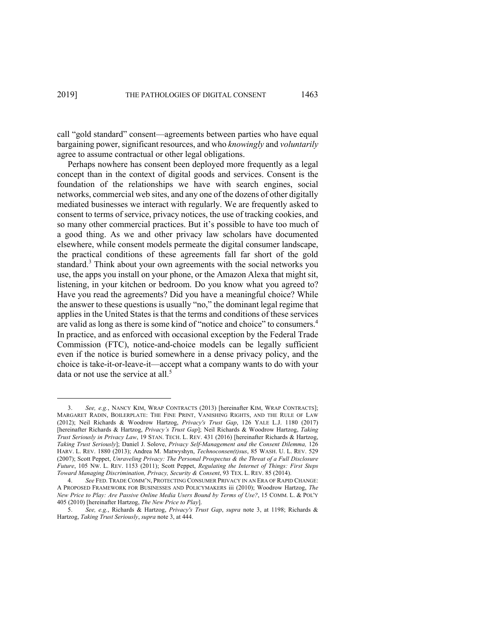call "gold standard" consent—agreements between parties who have equal bargaining power, significant resources, and who *knowingly* and *voluntarily* agree to assume contractual or other legal obligations.

Perhaps nowhere has consent been deployed more frequently as a legal concept than in the context of digital goods and services. Consent is the foundation of the relationships we have with search engines, social networks, commercial web sites, and any one of the dozens of other digitally mediated businesses we interact with regularly. We are frequently asked to consent to terms of service, privacy notices, the use of tracking cookies, and so many other commercial practices. But it's possible to have too much of a good thing. As we and other privacy law scholars have documented elsewhere, while consent models permeate the digital consumer landscape, the practical conditions of these agreements fall far short of the gold standard.<sup>3</sup> Think about your own agreements with the social networks you use, the apps you install on your phone, or the Amazon Alexa that might sit, listening, in your kitchen or bedroom. Do you know what you agreed to? Have you read the agreements? Did you have a meaningful choice? While the answer to these questions is usually "no," the dominant legal regime that applies in the United States is that the terms and conditions of these services are valid as long as there is some kind of "notice and choice" to consumers.4 In practice, and as enforced with occasional exception by the Federal Trade Commission (FTC), notice-and-choice models can be legally sufficient even if the notice is buried somewhere in a dense privacy policy, and the choice is take-it-or-leave-it—accept what a company wants to do with your data or not use the service at all.<sup>5</sup>

<sup>3.</sup> *See, e.g.*, NANCY KIM, WRAP CONTRACTS (2013) [hereinafter KIM, WRAP CONTRACTS]; MARGARET RADIN, BOILERPLATE: THE FINE PRINT, VANISHING RIGHTS, AND THE RULE OF LAW (2012); Neil Richards & Woodrow Hartzog, *Privacy's Trust Gap*, 126 YALE L.J. 1180 (2017) [hereinafter Richards & Hartzog, *Privacy's Trust Gap*]; Neil Richards & Woodrow Hartzog, *Taking Trust Seriously in Privacy Law*, 19 STAN. TECH. L. REV. 431 (2016) [hereinafter Richards & Hartzog, *Taking Trust Seriously*]; Daniel J. Solove, *Privacy Self-Management and the Consent Dilemma,* 126 HARV. L. REV. 1880 (2013); Andrea M. Matwyshyn, *Technoconsen(t)sus*, 85 WASH. U. L. REV. 529 (2007); Scott Peppet, *Unraveling Privacy: The Personal Prospectus & the Threat of a Full Disclosure Future*, 105 NW. L. REV. 1153 (2011); Scott Peppet, *Regulating the Internet of Things: First Steps Toward Managing Discrimination, Privacy, Security & Consent*, 93 TEX. L. REV. 85 (2014).

<sup>4.</sup> *See* FED. TRADE COMM'N, PROTECTING CONSUMER PRIVACY IN AN ERA OF RAPID CHANGE: A PROPOSED FRAMEWORK FOR BUSINESSES AND POLICYMAKERS iii (2010); Woodrow Hartzog, *The New Price to Play: Are Passive Online Media Users Bound by Terms of Use?*, 15 COMM. L. & POL'Y 405 (2010) [hereinafter Hartzog, *The New Price to Play*].

<sup>5.</sup> *See, e.g.*, Richards & Hartzog, *Privacy's Trust Gap*, *supra* note 3, at 1198; Richards & Hartzog, *Taking Trust Seriously*, *supra* note 3, at 444.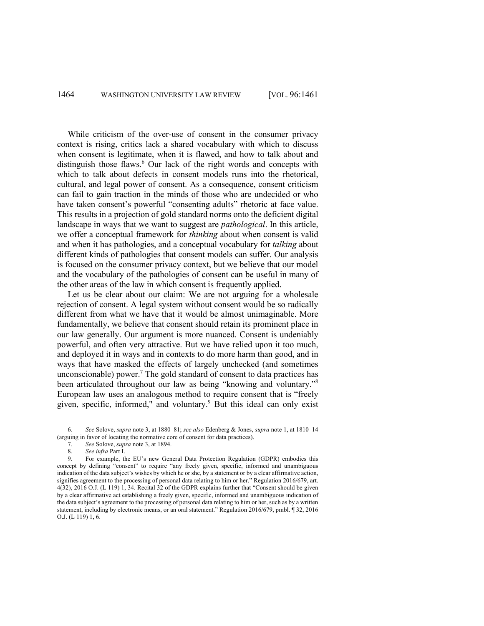While criticism of the over-use of consent in the consumer privacy context is rising, critics lack a shared vocabulary with which to discuss when consent is legitimate, when it is flawed, and how to talk about and distinguish those flaws. $6$  Our lack of the right words and concepts with which to talk about defects in consent models runs into the rhetorical, cultural, and legal power of consent. As a consequence, consent criticism can fail to gain traction in the minds of those who are undecided or who have taken consent's powerful "consenting adults" rhetoric at face value. This results in a projection of gold standard norms onto the deficient digital landscape in ways that we want to suggest are *pathological*. In this article, we offer a conceptual framework for *thinking* about when consent is valid and when it has pathologies, and a conceptual vocabulary for *talking* about different kinds of pathologies that consent models can suffer. Our analysis is focused on the consumer privacy context, but we believe that our model and the vocabulary of the pathologies of consent can be useful in many of the other areas of the law in which consent is frequently applied.

Let us be clear about our claim: We are not arguing for a wholesale rejection of consent. A legal system without consent would be so radically different from what we have that it would be almost unimaginable. More fundamentally, we believe that consent should retain its prominent place in our law generally. Our argument is more nuanced. Consent is undeniably powerful, and often very attractive. But we have relied upon it too much, and deployed it in ways and in contexts to do more harm than good, and in ways that have masked the effects of largely unchecked (and sometimes unconscionable) power.<sup>7</sup> The gold standard of consent to data practices has been articulated throughout our law as being "knowing and voluntary."8 European law uses an analogous method to require consent that is "freely given, specific, informed," and voluntary.<sup>9</sup> But this ideal can only exist

<sup>6.</sup> *See* Solove, *supra* note 3, at 1880–81; *see also* Edenberg & Jones, *supra* note 1, at 1810–14 (arguing in favor of locating the normative core of consent for data practices).

<sup>7.</sup> *See* Solove, *supra* note 3, at 1894.

<sup>8.</sup> *See infra* Part I.

<sup>9.</sup> For example, the EU's new General Data Protection Regulation (GDPR) embodies this concept by defining "consent" to require "any freely given, specific, informed and unambiguous indication of the data subject's wishes by which he or she, by a statement or by a clear affirmative action, signifies agreement to the processing of personal data relating to him or her." Regulation 2016/679, art. 4(32), 2016 O.J. (L 119) 1, 34. Recital 32 of the GDPR explains further that "Consent should be given by a clear affirmative act establishing a freely given, specific, informed and unambiguous indication of the data subject's agreement to the processing of personal data relating to him or her, such as by a written statement, including by electronic means, or an oral statement." Regulation 2016/679, pmbl. ¶ 32, 2016 O.J. (L 119) 1, 6.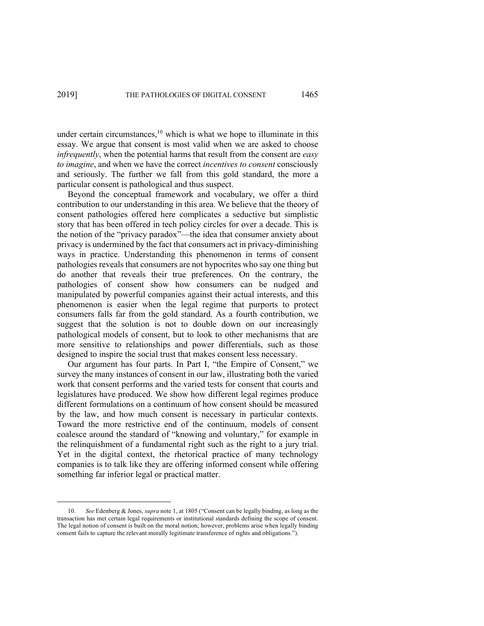under certain circumstances, $10$  which is what we hope to illuminate in this essay. We argue that consent is most valid when we are asked to choose *infrequently*, when the potential harms that result from the consent are *easy to imagine*, and when we have the correct *incentives to consent* consciously and seriously. The further we fall from this gold standard, the more a particular consent is pathological and thus suspect.

Beyond the conceptual framework and vocabulary, we offer a third contribution to our understanding in this area. We believe that the theory of consent pathologies offered here complicates a seductive but simplistic story that has been offered in tech policy circles for over a decade. This is the notion of the "privacy paradox"—the idea that consumer anxiety about privacy is undermined by the fact that consumers act in privacy-diminishing ways in practice. Understanding this phenomenon in terms of consent pathologies reveals that consumers are not hypocrites who say one thing but do another that reveals their true preferences. On the contrary, the pathologies of consent show how consumers can be nudged and manipulated by powerful companies against their actual interests, and this phenomenon is easier when the legal regime that purports to protect consumers falls far from the gold standard. As a fourth contribution, we suggest that the solution is not to double down on our increasingly pathological models of consent, but to look to other mechanisms that are more sensitive to relationships and power differentials, such as those designed to inspire the social trust that makes consent less necessary.

Our argument has four parts. In Part I, "the Empire of Consent," we survey the many instances of consent in our law, illustrating both the varied work that consent performs and the varied tests for consent that courts and legislatures have produced. We show how different legal regimes produce different formulations on a continuum of how consent should be measured by the law, and how much consent is necessary in particular contexts. Toward the more restrictive end of the continuum, models of consent coalesce around the standard of "knowing and voluntary," for example in the relinquishment of a fundamental right such as the right to a jury trial. Yet in the digital context, the rhetorical practice of many technology companies is to talk like they are offering informed consent while offering something far inferior legal or practical matter.

<sup>10.</sup> *See* Edenberg & Jones, *supra* note 1, at 1805 ("Consent can be legally binding, as long as the transaction has met certain legal requirements or institutional standards defining the scope of consent. The legal notion of consent is built on the moral notion; however, problems arise when legally binding consent fails to capture the relevant morally legitimate transference of rights and obligations.").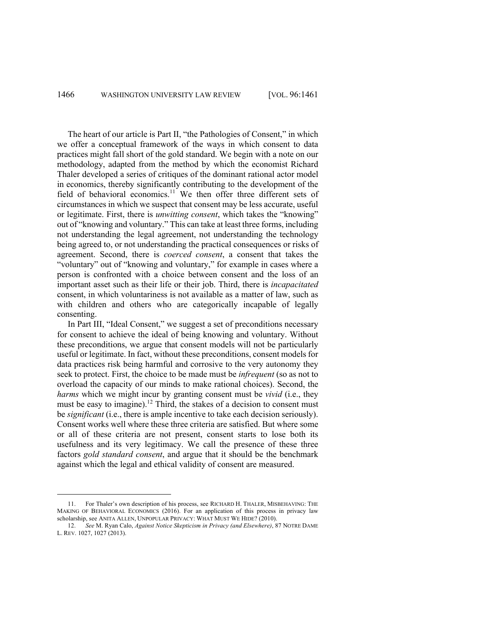The heart of our article is Part II, "the Pathologies of Consent," in which we offer a conceptual framework of the ways in which consent to data practices might fall short of the gold standard. We begin with a note on our methodology, adapted from the method by which the economist Richard Thaler developed a series of critiques of the dominant rational actor model in economics, thereby significantly contributing to the development of the field of behavioral economics.<sup>11</sup> We then offer three different sets of circumstances in which we suspect that consent may be less accurate, useful or legitimate. First, there is *unwitting consent*, which takes the "knowing" out of "knowing and voluntary." This can take at least three forms, including not understanding the legal agreement, not understanding the technology being agreed to, or not understanding the practical consequences or risks of agreement. Second, there is *coerced consent*, a consent that takes the "voluntary" out of "knowing and voluntary," for example in cases where a person is confronted with a choice between consent and the loss of an important asset such as their life or their job. Third, there is *incapacitated*  consent, in which voluntariness is not available as a matter of law, such as with children and others who are categorically incapable of legally consenting.

In Part III, "Ideal Consent," we suggest a set of preconditions necessary for consent to achieve the ideal of being knowing and voluntary. Without these preconditions, we argue that consent models will not be particularly useful or legitimate. In fact, without these preconditions, consent models for data practices risk being harmful and corrosive to the very autonomy they seek to protect. First, the choice to be made must be *infrequent* (so as not to overload the capacity of our minds to make rational choices). Second, the *harms* which we might incur by granting consent must be *vivid* (i.e., they must be easy to imagine).<sup>12</sup> Third, the stakes of a decision to consent must be *significant* (i.e., there is ample incentive to take each decision seriously). Consent works well where these three criteria are satisfied. But where some or all of these criteria are not present, consent starts to lose both its usefulness and its very legitimacy. We call the presence of these three factors *gold standard consent*, and argue that it should be the benchmark against which the legal and ethical validity of consent are measured.

<sup>11.</sup> For Thaler's own description of his process, see RICHARD H. THALER, MISBEHAVING: THE MAKING OF BEHAVIORAL ECONOMICS (2016). For an application of this process in privacy law scholarship, see ANITA ALLEN, UNPOPULAR PRIVACY: WHAT MUST WE HIDE? (2010).

<sup>12.</sup> *See* M. Ryan Calo, *Against Notice Skepticism in Privacy (and Elsewhere)*, 87 NOTRE DAME L. REV. 1027, 1027 (2013).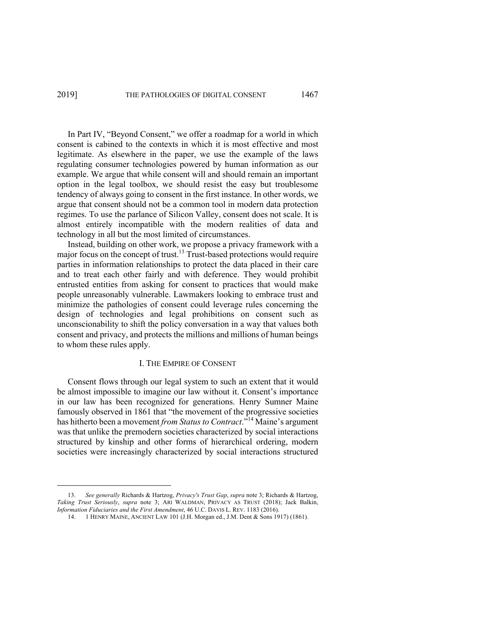In Part IV, "Beyond Consent," we offer a roadmap for a world in which consent is cabined to the contexts in which it is most effective and most legitimate. As elsewhere in the paper, we use the example of the laws regulating consumer technologies powered by human information as our example. We argue that while consent will and should remain an important option in the legal toolbox, we should resist the easy but troublesome tendency of always going to consent in the first instance. In other words, we argue that consent should not be a common tool in modern data protection regimes. To use the parlance of Silicon Valley, consent does not scale. It is almost entirely incompatible with the modern realities of data and technology in all but the most limited of circumstances.

Instead, building on other work, we propose a privacy framework with a major focus on the concept of trust.<sup>13</sup> Trust-based protections would require parties in information relationships to protect the data placed in their care and to treat each other fairly and with deference. They would prohibit entrusted entities from asking for consent to practices that would make people unreasonably vulnerable. Lawmakers looking to embrace trust and minimize the pathologies of consent could leverage rules concerning the design of technologies and legal prohibitions on consent such as unconscionability to shift the policy conversation in a way that values both consent and privacy, and protects the millions and millions of human beings to whom these rules apply.

### I. THE EMPIRE OF CONSENT

Consent flows through our legal system to such an extent that it would be almost impossible to imagine our law without it. Consent's importance in our law has been recognized for generations. Henry Sumner Maine famously observed in 1861 that "the movement of the progressive societies has hitherto been a movement *from Status to Contract*."<sup>14</sup> Maine's argument was that unlike the premodern societies characterized by social interactions structured by kinship and other forms of hierarchical ordering, modern societies were increasingly characterized by social interactions structured

<sup>13.</sup> *See generally* Richards & Hartzog, *Privacy's Trust Gap*, *supra* note 3; Richards & Hartzog, *Taking Trust Seriously*, *supra* note 3; ARI WALDMAN, PRIVACY AS TRUST (2018); Jack Balkin, *Information Fiduciaries and the First Amendment*, 46 U.C. DAVIS L. REV. 1183 (2016).

<sup>14.</sup> 1 HENRY MAINE, ANCIENT LAW 101 (J.H. Morgan ed., J.M. Dent & Sons 1917) (1861).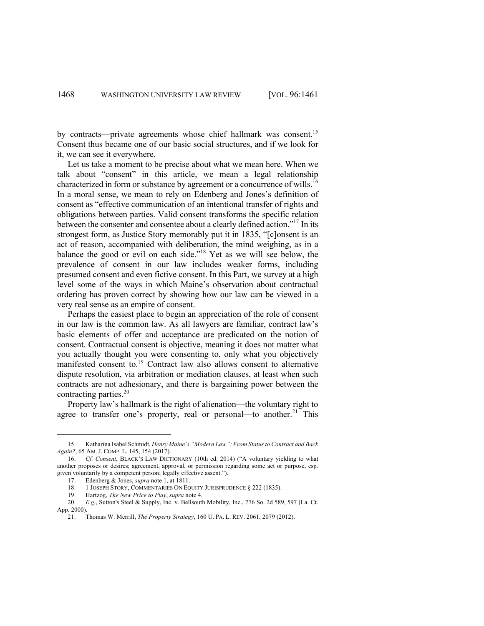by contracts—private agreements whose chief hallmark was consent.<sup>15</sup> Consent thus became one of our basic social structures, and if we look for it, we can see it everywhere.

Let us take a moment to be precise about what we mean here. When we talk about "consent" in this article, we mean a legal relationship characterized in form or substance by agreement or a concurrence of wills.<sup>16</sup> In a moral sense, we mean to rely on Edenberg and Jones's definition of consent as "effective communication of an intentional transfer of rights and obligations between parties. Valid consent transforms the specific relation between the consenter and consentee about a clearly defined action."17 In its strongest form, as Justice Story memorably put it in 1835, "[c]onsent is an act of reason, accompanied with deliberation, the mind weighing, as in a balance the good or evil on each side."18 Yet as we will see below, the prevalence of consent in our law includes weaker forms, including presumed consent and even fictive consent. In this Part, we survey at a high level some of the ways in which Maine's observation about contractual ordering has proven correct by showing how our law can be viewed in a very real sense as an empire of consent.

Perhaps the easiest place to begin an appreciation of the role of consent in our law is the common law. As all lawyers are familiar, contract law's basic elements of offer and acceptance are predicated on the notion of consent. Contractual consent is objective, meaning it does not matter what you actually thought you were consenting to, only what you objectively manifested consent to.19 Contract law also allows consent to alternative dispute resolution, via arbitration or mediation clauses, at least when such contracts are not adhesionary, and there is bargaining power between the contracting parties. 20

Property law's hallmark is the right of alienation—the voluntary right to agree to transfer one's property, real or personal—to another.<sup>21</sup> This

19. Hartzog, *The New Price to Play*, *supra* note 4.

<sup>15.</sup> Katharina Isabel Schmidt, *Henry Maine's "Modern Law": From Status to Contract and Back Again?*, 65 AM. J. COMP. L. 145, 154 (2017).

<sup>16.</sup> *Cf. Consent*, BLACK'S LAW DICTIONARY (10th ed. 2014) ("A voluntary yielding to what another proposes or desires; agreement, approval, or permission regarding some act or purpose, esp. given voluntarily by a competent person; legally effective assent."). 17. Edenberg & Jones, *supra* note 1, at 1811.

<sup>18. 1</sup> JOSEPH STORY, COMMENTARIES ON EQUITY JURISPRUDENCE § 222 (1835).

<sup>20.</sup> *E.g.*, Sutton's Steel & Supply, Inc. v. Bellsouth Mobility, Inc., 776 So. 2d 589, 597 (La. Ct. App. 2000).

<sup>21.</sup> Thomas W. Merrill, *The Property Strategy*, 160 U. PA. L. REV. 2061, 2079 (2012).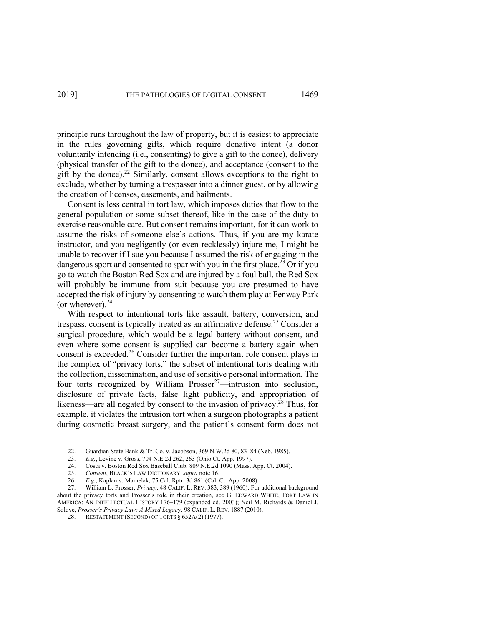principle runs throughout the law of property, but it is easiest to appreciate in the rules governing gifts, which require donative intent (a donor voluntarily intending (i.e., consenting) to give a gift to the donee), delivery (physical transfer of the gift to the donee), and acceptance (consent to the gift by the donee).<sup>22</sup> Similarly, consent allows exceptions to the right to exclude, whether by turning a trespasser into a dinner guest, or by allowing the creation of licenses, easements, and bailments.

Consent is less central in tort law, which imposes duties that flow to the general population or some subset thereof, like in the case of the duty to exercise reasonable care. But consent remains important, for it can work to assume the risks of someone else's actions. Thus, if you are my karate instructor, and you negligently (or even recklessly) injure me, I might be unable to recover if I sue you because I assumed the risk of engaging in the dangerous sport and consented to spar with you in the first place.<sup>23</sup> Or if you go to watch the Boston Red Sox and are injured by a foul ball, the Red Sox will probably be immune from suit because you are presumed to have accepted the risk of injury by consenting to watch them play at Fenway Park (or wherever). $^{24}$ 

With respect to intentional torts like assault, battery, conversion, and trespass, consent is typically treated as an affirmative defense.<sup>25</sup> Consider a surgical procedure, which would be a legal battery without consent, and even where some consent is supplied can become a battery again when consent is exceeded.<sup>26</sup> Consider further the important role consent plays in the complex of "privacy torts," the subset of intentional torts dealing with the collection, dissemination, and use of sensitive personal information. The four torts recognized by William Prosser<sup>27</sup>—intrusion into seclusion, disclosure of private facts, false light publicity, and appropriation of likeness—are all negated by consent to the invasion of privacy.<sup>28</sup> Thus, for example, it violates the intrusion tort when a surgeon photographs a patient during cosmetic breast surgery, and the patient's consent form does not

<sup>22.</sup> Guardian State Bank & Tr. Co. v. Jacobson, 369 N.W.2d 80, 83–84 (Neb. 1985).

<sup>23.</sup> *E.g.*, Levine v. Gross, 704 N.E.2d 262, 263 (Ohio Ct. App. 1997).

<sup>24.</sup> Costa v. Boston Red Sox Baseball Club, 809 N.E.2d 1090 (Mass. App. Ct. 2004).

<sup>25.</sup> *Consent*, BLACK'S LAW DICTIONARY, *supra* note 16.

<sup>26.</sup> *E.g.*, Kaplan v. Mamelak*,* 75 Cal. Rptr. 3d 861 (Cal. Ct. App. 2008).

<sup>27.</sup> William L. Prosser, *Privacy*, 48 CALIF. L. REV. 383, 389 (1960). For additional background about the privacy torts and Prosser's role in their creation, see G. EDWARD WHITE, TORT LAW IN AMERICA: AN INTELLECTUAL HISTORY 176–179 (expanded ed. 2003); Neil M. Richards & Daniel J. Solove, *Prosser's Privacy Law: A Mixed Legac*y, 98 CALIF. L. REV. 1887 (2010).

<sup>28.</sup> RESTATEMENT (SECOND) OF TORTS § 652A(2) (1977).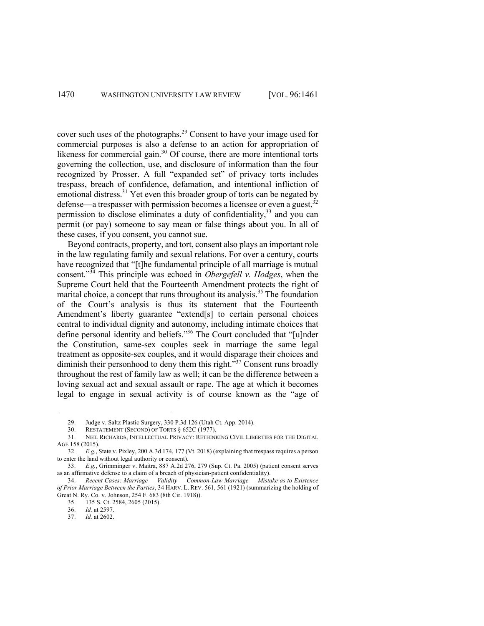cover such uses of the photographs. <sup>29</sup> Consent to have your image used for commercial purposes is also a defense to an action for appropriation of likeness for commercial gain.<sup>30</sup> Of course, there are more intentional torts governing the collection, use, and disclosure of information than the four recognized by Prosser. A full "expanded set" of privacy torts includes trespass, breach of confidence, defamation, and intentional infliction of emotional distress.<sup>31</sup> Yet even this broader group of torts can be negated by defense—a trespasser with permission becomes a licensee or even a guest,  $32$ permission to disclose eliminates a duty of confidentiality,<sup>33</sup> and you can permit (or pay) someone to say mean or false things about you. In all of these cases, if you consent, you cannot sue.

Beyond contracts, property, and tort, consent also plays an important role in the law regulating family and sexual relations. For over a century, courts have recognized that "[t]he fundamental principle of all marriage is mutual consent."<sup>34</sup> This principle was echoed in *Obergefell v. Hodges*, when the Supreme Court held that the Fourteenth Amendment protects the right of marital choice, a concept that runs throughout its analysis.<sup>35</sup> The foundation of the Court's analysis is thus its statement that the Fourteenth Amendment's liberty guarantee "extend[s] to certain personal choices central to individual dignity and autonomy, including intimate choices that define personal identity and beliefs."36 The Court concluded that "[u]nder the Constitution, same-sex couples seek in marriage the same legal treatment as opposite-sex couples, and it would disparage their choices and diminish their personhood to deny them this right."<sup>37</sup> Consent runs broadly throughout the rest of family law as well; it can be the difference between a loving sexual act and sexual assault or rape. The age at which it becomes legal to engage in sexual activity is of course known as the "age of

<sup>29.</sup> Judge v. Saltz Plastic Surgery, 330 P.3d 126 (Utah Ct. App. 2014).<br>30. RESTATEMENT (SECOND) OF TORTS § 652C (1977).

RESTATEMENT (SECOND) OF TORTS § 652C (1977).

<sup>31.</sup> NEIL RICHARDS, INTELLECTUAL PRIVACY: RETHINKING CIVIL LIBERTIES FOR THE DIGITAL AGE 158 (2015).

<sup>32.</sup> *E.g.*, State v. Pixley, 200 A.3d 174, 177 (Vt. 2018) (explaining that trespass requires a person to enter the land without legal authority or consent).

<sup>33.</sup> *E.g.*, Grimminger v. Maitra, 887 A.2d 276, 279 (Sup. Ct. Pa. 2005) (patient consent serves as an affirmative defense to a claim of a breach of physician-patient confidentiality).

<sup>34.</sup> *Recent Cases: Marriage — Validity — Common-Law Marriage — Mistake as to Existence of Prior Marriage Between the Parties*, 34 HARV. L. REV. 561, 561 (1921) (summarizing the holding of Great N. Ry. Co. v. Johnson, 254 F. 683 (8th Cir. 1918)).

<sup>35. 135</sup> S. Ct. 2584, 2605 (2015).<br>36. Id. at 2597.

*Id.* at 2597.

<sup>37.</sup> *Id.* at 2602.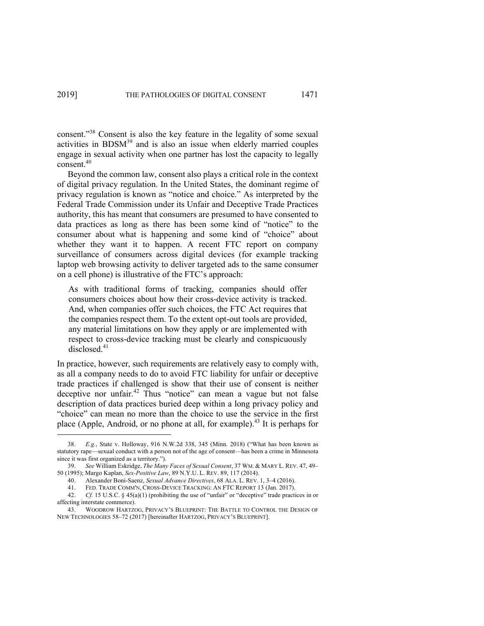consent."<sup>38</sup> Consent is also the key feature in the legality of some sexual activities in BDSM<sup>39</sup> and is also an issue when elderly married couples engage in sexual activity when one partner has lost the capacity to legally consent.40

Beyond the common law, consent also plays a critical role in the context of digital privacy regulation. In the United States, the dominant regime of privacy regulation is known as "notice and choice." As interpreted by the Federal Trade Commission under its Unfair and Deceptive Trade Practices authority, this has meant that consumers are presumed to have consented to data practices as long as there has been some kind of "notice" to the consumer about what is happening and some kind of "choice" about whether they want it to happen. A recent FTC report on company surveillance of consumers across digital devices (for example tracking laptop web browsing activity to deliver targeted ads to the same consumer on a cell phone) is illustrative of the FTC's approach:

As with traditional forms of tracking, companies should offer consumers choices about how their cross-device activity is tracked. And, when companies offer such choices, the FTC Act requires that the companies respect them. To the extent opt-out tools are provided, any material limitations on how they apply or are implemented with respect to cross-device tracking must be clearly and conspicuously disclosed.<sup>41</sup>

In practice, however, such requirements are relatively easy to comply with, as all a company needs to do to avoid FTC liability for unfair or deceptive trade practices if challenged is show that their use of consent is neither deceptive nor unfair.<sup>42</sup> Thus "notice" can mean a vague but not false description of data practices buried deep within a long privacy policy and "choice" can mean no more than the choice to use the service in the first place (Apple, Android, or no phone at all, for example).<sup>43</sup> It is perhaps for

<sup>38.</sup> *E.g.*, State v. Holloway, 916 N.W.2d 338, 345 (Minn. 2018) ("What has been known as statutory rape—sexual conduct with a person not of the age of consent—has been a crime in Minnesota since it was first organized as a territory.").

<sup>39.</sup> *See* William Eskridge, *The Many Faces of Sexual Consent*, 37 WM. & MARY L. REV. 47, 49– 50 (1995); Margo Kaplan, *Sex-Positive Law*, 89 N.Y.U. L. REV. 89, 117 (2014).

<sup>40.</sup> Alexander Boni-Saenz, *Sexual Advance Directives*, 68 ALA. L. REV. 1, 3–4 (2016).

<sup>41.</sup> FED. TRADE COMM'N, CROSS-DEVICE TRACKING: AN FTC REPORT 13 (Jan. 2017).

<sup>42.</sup> *Cf.* 15 U.S.C. § 45(a)(1) (prohibiting the use of "unfair" or "deceptive" trade practices in or affecting interstate commerce).

<sup>43.</sup> WOODROW HARTZOG, PRIVACY'S BLUEPRINT: THE BATTLE TO CONTROL THE DESIGN OF NEW TECHNOLOGIES 58–72 (2017) [hereinafter HARTZOG, PRIVACY'S BLUEPRINT].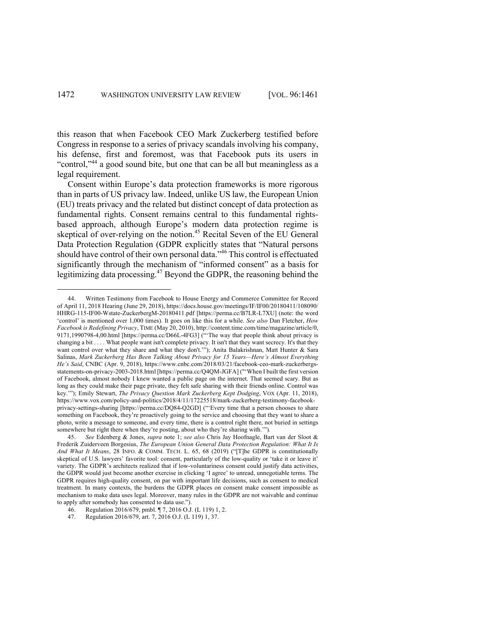this reason that when Facebook CEO Mark Zuckerberg testified before Congress in response to a series of privacy scandals involving his company, his defense, first and foremost, was that Facebook puts its users in "control,"44 a good sound bite, but one that can be all but meaningless as a legal requirement.

Consent within Europe's data protection frameworks is more rigorous than in parts of US privacy law. Indeed, unlike US law, the European Union (EU) treats privacy and the related but distinct concept of data protection as fundamental rights. Consent remains central to this fundamental rightsbased approach, although Europe's modern data protection regime is skeptical of over-relying on the notion. <sup>45</sup> Recital Seven of the EU General Data Protection Regulation (GDPR explicitly states that "Natural persons should have control of their own personal data."<sup>46</sup> This control is effectuated significantly through the mechanism of "informed consent" as a basis for legitimizing data processing.47 Beyond the GDPR, the reasoning behind the

<sup>44.</sup> Written Testimony from Facebook to House Energy and Commerce Committee for Record of April 11, 2018 Hearing (June 29, 2018), https://docs.house.gov/meetings/IF/IF00/20180411/108090/ HHRG-115-IF00-Wstate-ZuckerbergM-20180411.pdf [https://perma.cc/B7LR-L7XU] (note: the word 'control' is mentioned over 1,000 times). It goes on like this for a while. *See also* Dan Fletcher, *How Facebook is Redefining Privacy*, TIME (May 20, 2010), http://content.time.com/time/magazine/article/0, 9171,1990798-4,00.html [https://perma.cc/D66L-4FG3] ("'The way that people think about privacy is changing a bit . . . . What people want isn't complete privacy. It isn't that they want secrecy. It's that they want control over what they share and what they don't.'"); Anita Balakrishnan, Matt Hunter & Sara Salinas, *Mark Zuckerberg Has Been Talking About Privacy for 15 Years—Here's Almost Everything He's Said*, CNBC (Apr. 9, 2018), https://www.cnbc.com/2018/03/21/facebook-ceo-mark-zuckerbergsstatements-on-privacy-2003-2018.html [https://perma.cc/Q4QM-JGFA] ("'When I built the first version of Facebook, almost nobody I knew wanted a public page on the internet. That seemed scary. But as long as they could make their page private, they felt safe sharing with their friends online. Control was key.'"); Emily Stewart, *The Privacy Question Mark Zuckerberg Kept Dodging*, VOX (Apr. 11, 2018), https://www.vox.com/policy-and-politics/2018/4/11/17225518/mark-zuckerberg-testimony-facebookprivacy-settings-sharing [https://perma.cc/DQ84-Q2GD] ("'Every time that a person chooses to share something on Facebook, they're proactively going to the service and choosing that they want to share a photo, write a message to someone, and every time, there is a control right there, not buried in settings somewhere but right there when they're posting, about who they're sharing with.'").

<sup>45.</sup> *See* Edenberg & Jones, *supra* note 1; *see also* Chris Jay Hoofnagle, Bart van der Sloot & Frederik Zuiderveen Borgesius, *The European Union General Data Protection Regulation: What It Is And What It Means*, 28 INFO. & COMM. TECH. L. 65, 68 (2019) ("[T]he GDPR is constitutionally skeptical of U.S. lawyers' favorite tool: consent, particularly of the low-quality or 'take it or leave it' variety. The GDPR's architects realized that if low-voluntariness consent could justify data activities, the GDPR would just become another exercise in clicking 'I agree' to unread, unnegotiable terms. The GDPR requires high-quality consent, on par with important life decisions, such as consent to medical treatment. In many contexts, the burdens the GDPR places on consent make consent impossible as mechanism to make data uses legal. Moreover, many rules in the GDPR are not waivable and continue to apply after somebody has consented to data use.").

<sup>46.</sup> Regulation 2016/679, pmbl. ¶ 7, 2016 O.J. (L 119) 1, 2.

<sup>47.</sup> Regulation 2016/679, art. 7, 2016 O.J. (L 119) 1, 37.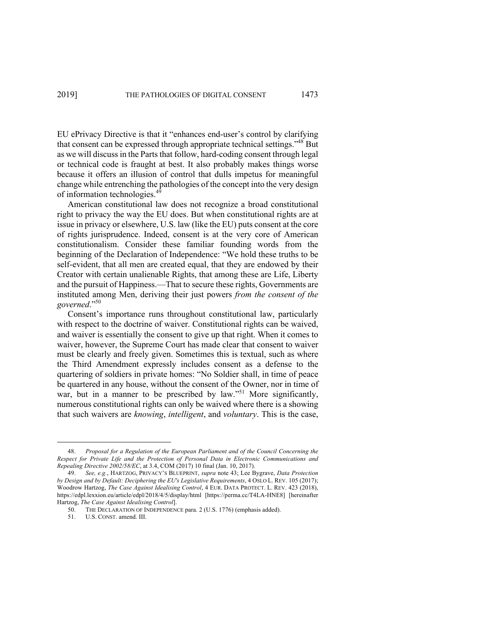EU ePrivacy Directive is that it "enhances end-user's control by clarifying that consent can be expressed through appropriate technical settings."48 But as we will discuss in the Parts that follow, hard-coding consent through legal or technical code is fraught at best. It also probably makes things worse because it offers an illusion of control that dulls impetus for meaningful change while entrenching the pathologies of the concept into the very design of information technologies.<sup>49</sup>

American constitutional law does not recognize a broad constitutional right to privacy the way the EU does. But when constitutional rights are at issue in privacy or elsewhere, U.S. law (like the EU) puts consent at the core of rights jurisprudence. Indeed, consent is at the very core of American constitutionalism. Consider these familiar founding words from the beginning of the Declaration of Independence: "We hold these truths to be self-evident, that all men are created equal, that they are endowed by their Creator with certain unalienable Rights, that among these are Life, Liberty and the pursuit of Happiness.—That to secure these rights, Governments are instituted among Men, deriving their just powers *from the consent of the governed*."50

Consent's importance runs throughout constitutional law, particularly with respect to the doctrine of waiver. Constitutional rights can be waived, and waiver is essentially the consent to give up that right. When it comes to waiver, however, the Supreme Court has made clear that consent to waiver must be clearly and freely given. Sometimes this is textual, such as where the Third Amendment expressly includes consent as a defense to the quartering of soldiers in private homes: "No Soldier shall, in time of peace be quartered in any house, without the consent of the Owner, nor in time of war, but in a manner to be prescribed by law."<sup>51</sup> More significantly, numerous constitutional rights can only be waived where there is a showing that such waivers are *knowing*, *intelligent*, and *voluntary*. This is the case,

<sup>48.</sup> *Proposal for a Regulation of the European Parliament and of the Council Concerning the Respect for Private Life and the Protection of Personal Data in Electronic Communications and Repealing Directive 2002/58/EC*, at 3.4, COM (2017) 10 final (Jan. 10, 2017).

<sup>49.</sup> *See, e.g.*, HARTZOG, PRIVACY'S BLUEPRINT, *supra* note 43; Lee Bygrave, *Data Protection by Design and by Default: Deciphering the EU's Legislative Requirements*, 4 OSLO L. REV. 105 (2017); Woodrow Hartzog, *The Case Against Idealising Control*, 4 EUR. DATA PROTECT. L. REV. 423 (2018), https://edpl.lexxion.eu/article/edpl/2018/4/5/display/html [https://perma.cc/T4LA-HNE8] [hereinafter Hartzog, *The Case Against Idealising Control*].

THE DECLARATION OF INDEPENDENCE para. 2 (U.S. 1776) (emphasis added).

<sup>51.</sup> U.S. CONST. amend. III.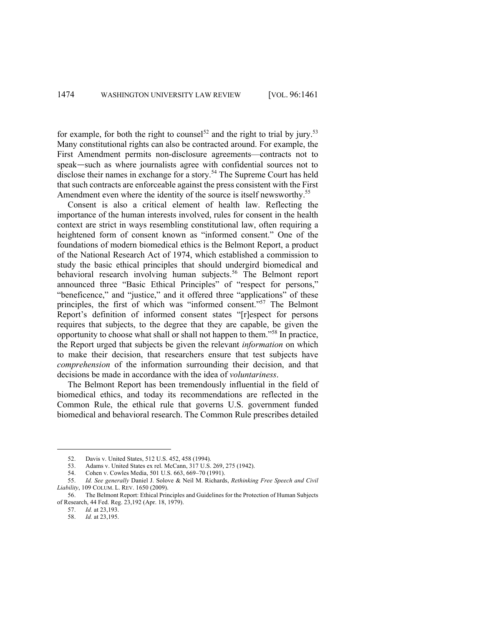for example, for both the right to counsel<sup>52</sup> and the right to trial by jury.<sup>53</sup> Many constitutional rights can also be contracted around. For example, the First Amendment permits non-disclosure agreements—contracts not to speak—such as where journalists agree with confidential sources not to disclose their names in exchange for a story.<sup>54</sup> The Supreme Court has held that such contracts are enforceable against the press consistent with the First Amendment even where the identity of the source is itself newsworthy.<sup>55</sup>

Consent is also a critical element of health law. Reflecting the importance of the human interests involved, rules for consent in the health context are strict in ways resembling constitutional law, often requiring a heightened form of consent known as "informed consent." One of the foundations of modern biomedical ethics is the Belmont Report, a product of the National Research Act of 1974, which established a commission to study the basic ethical principles that should undergird biomedical and behavioral research involving human subjects.<sup>56</sup> The Belmont report announced three "Basic Ethical Principles" of "respect for persons," "beneficence," and "justice," and it offered three "applications" of these principles, the first of which was "informed consent."57 The Belmont Report's definition of informed consent states "[r]espect for persons requires that subjects, to the degree that they are capable, be given the opportunity to choose what shall or shall not happen to them."58 In practice, the Report urged that subjects be given the relevant *information* on which to make their decision, that researchers ensure that test subjects have *comprehension* of the information surrounding their decision, and that decisions be made in accordance with the idea of *voluntariness*.

The Belmont Report has been tremendously influential in the field of biomedical ethics, and today its recommendations are reflected in the Common Rule, the ethical rule that governs U.S. government funded biomedical and behavioral research. The Common Rule prescribes detailed

<sup>52.</sup> Davis v. United States, 512 U.S. 452, 458 (1994).

<sup>53.</sup> Adams v. United States ex rel. McCann, 317 U.S. 269, 275 (1942).

<sup>54.</sup> Cohen v. Cowles Media, 501 U.S. 663, 669–70 (1991).

<sup>55.</sup> *Id. See generally* Daniel J. Solove & Neil M. Richards, *Rethinking Free Speech and Civil Liability*, 109 COLUM. L. REV. 1650 (2009).

<sup>56.</sup> The Belmont Report: Ethical Principles and Guidelines for the Protection of Human Subjects of Research, 44 Fed. Reg. 23,192 (Apr. 18, 1979).

<sup>57.</sup> *Id.* at 23,193.

<sup>58.</sup> *Id.* at 23,195.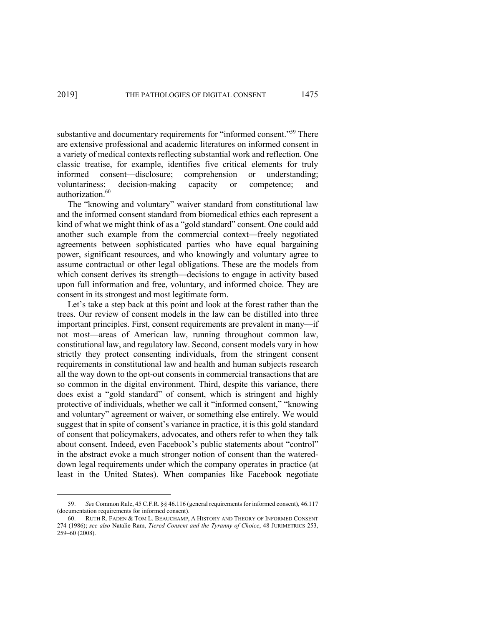substantive and documentary requirements for "informed consent."<sup>59</sup> There are extensive professional and academic literatures on informed consent in a variety of medical contexts reflecting substantial work and reflection. One classic treatise, for example, identifies five critical elements for truly informed consent—disclosure; comprehension or understanding; voluntariness; decision-making capacity or competence; and authorization.<sup>60</sup>

The "knowing and voluntary" waiver standard from constitutional law and the informed consent standard from biomedical ethics each represent a kind of what we might think of as a "gold standard" consent. One could add another such example from the commercial context—freely negotiated agreements between sophisticated parties who have equal bargaining power, significant resources, and who knowingly and voluntary agree to assume contractual or other legal obligations. These are the models from which consent derives its strength—decisions to engage in activity based upon full information and free, voluntary, and informed choice. They are consent in its strongest and most legitimate form.

Let's take a step back at this point and look at the forest rather than the trees. Our review of consent models in the law can be distilled into three important principles. First, consent requirements are prevalent in many—if not most—areas of American law, running throughout common law, constitutional law, and regulatory law. Second, consent models vary in how strictly they protect consenting individuals, from the stringent consent requirements in constitutional law and health and human subjects research all the way down to the opt-out consents in commercial transactions that are so common in the digital environment. Third, despite this variance, there does exist a "gold standard" of consent, which is stringent and highly protective of individuals, whether we call it "informed consent," "knowing and voluntary" agreement or waiver, or something else entirely. We would suggest that in spite of consent's variance in practice, it is this gold standard of consent that policymakers, advocates, and others refer to when they talk about consent. Indeed, even Facebook's public statements about "control" in the abstract evoke a much stronger notion of consent than the watereddown legal requirements under which the company operates in practice (at least in the United States). When companies like Facebook negotiate

<sup>59.</sup> *See* Common Rule, 45 C.F.R. §§ 46.116 (general requirements for informed consent), 46.117 (documentation requirements for informed consent).

<sup>60.</sup> RUTH R. FADEN & TOM L. BEAUCHAMP, A HISTORY AND THEORY OF INFORMED CONSENT 274 (1986); *see also* Natalie Ram, *Tiered Consent and the Tyranny of Choice*, 48 JURIMETRICS 253, 259–60 (2008).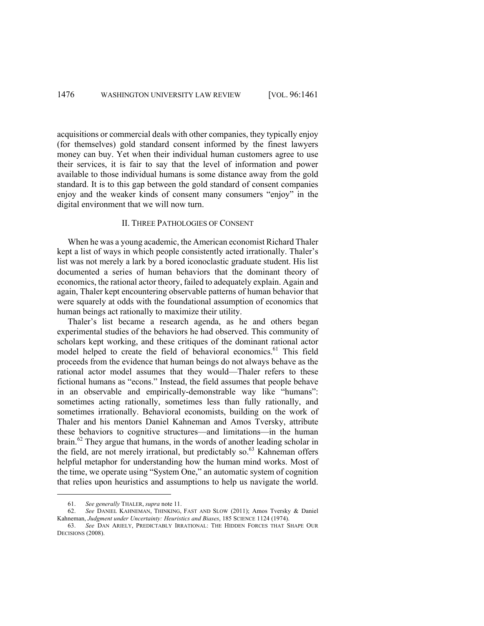acquisitions or commercial deals with other companies, they typically enjoy (for themselves) gold standard consent informed by the finest lawyers money can buy. Yet when their individual human customers agree to use their services, it is fair to say that the level of information and power available to those individual humans is some distance away from the gold standard. It is to this gap between the gold standard of consent companies enjoy and the weaker kinds of consent many consumers "enjoy" in the digital environment that we will now turn.

#### II. THREE PATHOLOGIES OF CONSENT

When he was a young academic, the American economist Richard Thaler kept a list of ways in which people consistently acted irrationally. Thaler's list was not merely a lark by a bored iconoclastic graduate student. His list documented a series of human behaviors that the dominant theory of economics, the rational actor theory, failed to adequately explain. Again and again, Thaler kept encountering observable patterns of human behavior that were squarely at odds with the foundational assumption of economics that human beings act rationally to maximize their utility.

Thaler's list became a research agenda, as he and others began experimental studies of the behaviors he had observed. This community of scholars kept working, and these critiques of the dominant rational actor model helped to create the field of behavioral economics.<sup>61</sup> This field proceeds from the evidence that human beings do not always behave as the rational actor model assumes that they would—Thaler refers to these fictional humans as "econs." Instead, the field assumes that people behave in an observable and empirically-demonstrable way like "humans": sometimes acting rationally, sometimes less than fully rationally, and sometimes irrationally. Behavioral economists, building on the work of Thaler and his mentors Daniel Kahneman and Amos Tversky, attribute these behaviors to cognitive structures—and limitations—in the human brain.<sup>62</sup> They argue that humans, in the words of another leading scholar in the field, are not merely irrational, but predictably so. $63$  Kahneman offers helpful metaphor for understanding how the human mind works. Most of the time, we operate using "System One," an automatic system of cognition that relies upon heuristics and assumptions to help us navigate the world.

<sup>61.</sup> *See generally* THALER, *supra* note 11.

<sup>62.</sup> *See* DANIEL KAHNEMAN, THINKING, FAST AND SLOW (2011); Amos Tversky & Daniel Kahneman, *Judgment under Uncertainty: Heuristics and Biases*, 185 SCIENCE 1124 (1974).

<sup>63.</sup> *See* DAN ARIELY, PREDICTABLY IRRATIONAL: THE HIDDEN FORCES THAT SHAPE OUR DECISIONS (2008).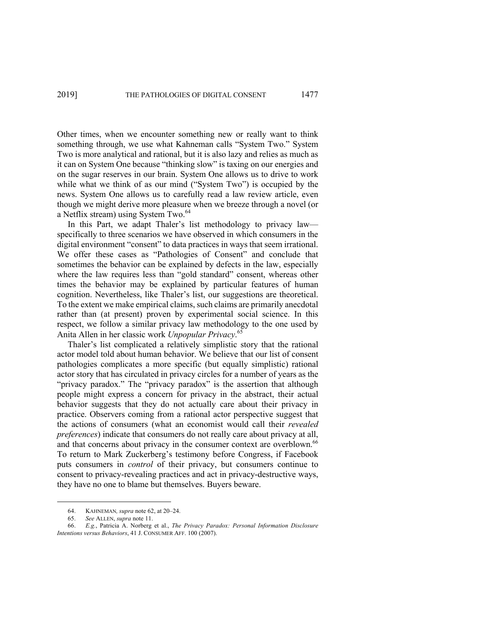Other times, when we encounter something new or really want to think something through, we use what Kahneman calls "System Two." System Two is more analytical and rational, but it is also lazy and relies as much as it can on System One because "thinking slow" is taxing on our energies and on the sugar reserves in our brain. System One allows us to drive to work while what we think of as our mind ("System Two") is occupied by the news. System One allows us to carefully read a law review article, even though we might derive more pleasure when we breeze through a novel (or a Netflix stream) using System Two.<sup>64</sup>

In this Part, we adapt Thaler's list methodology to privacy law specifically to three scenarios we have observed in which consumers in the digital environment "consent" to data practices in ways that seem irrational. We offer these cases as "Pathologies of Consent" and conclude that sometimes the behavior can be explained by defects in the law, especially where the law requires less than "gold standard" consent, whereas other times the behavior may be explained by particular features of human cognition. Nevertheless, like Thaler's list, our suggestions are theoretical. To the extent we make empirical claims, such claims are primarily anecdotal rather than (at present) proven by experimental social science. In this respect, we follow a similar privacy law methodology to the one used by Anita Allen in her classic work *Unpopular Privacy*. 65

Thaler's list complicated a relatively simplistic story that the rational actor model told about human behavior. We believe that our list of consent pathologies complicates a more specific (but equally simplistic) rational actor story that has circulated in privacy circles for a number of years as the "privacy paradox." The "privacy paradox" is the assertion that although people might express a concern for privacy in the abstract, their actual behavior suggests that they do not actually care about their privacy in practice. Observers coming from a rational actor perspective suggest that the actions of consumers (what an economist would call their *revealed preferences*) indicate that consumers do not really care about privacy at all, and that concerns about privacy in the consumer context are overblown.<sup>66</sup> To return to Mark Zuckerberg's testimony before Congress, if Facebook puts consumers in *control* of their privacy, but consumers continue to consent to privacy-revealing practices and act in privacy-destructive ways, they have no one to blame but themselves. Buyers beware.

<sup>64.</sup> KAHNEMAN*, supra* note 62, at 20–24.

<sup>65.</sup> *See* ALLEN, *supra* note 11.

<sup>66.</sup> *E.g.*, Patricia A. Norberg et al., *The Privacy Paradox: Personal Information Disclosure Intentions versus Behaviors*, 41 J. CONSUMER AFF. 100 (2007).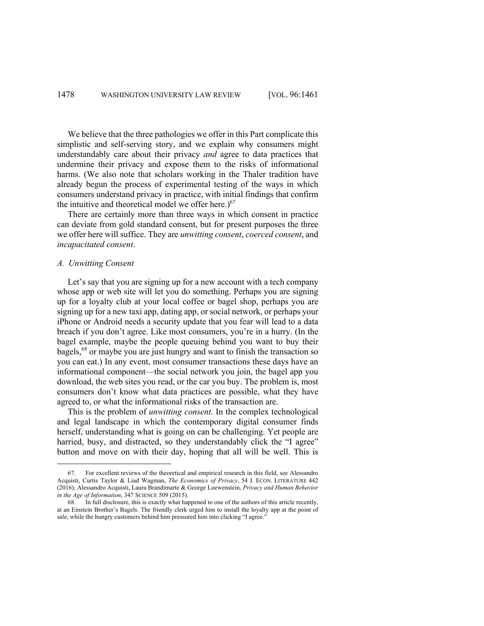We believe that the three pathologies we offer in this Part complicate this simplistic and self-serving story, and we explain why consumers might understandably care about their privacy *and* agree to data practices that undermine their privacy and expose them to the risks of informational harms. (We also note that scholars working in the Thaler tradition have already begun the process of experimental testing of the ways in which consumers understand privacy in practice, with initial findings that confirm the intuitive and theoretical model we offer here.) $67$ 

There are certainly more than three ways in which consent in practice can deviate from gold standard consent, but for present purposes the three we offer here will suffice. They are *unwitting consent*, *coerced consent*, and *incapacitated consent*.

### *A. Unwitting Consent*

Let's say that you are signing up for a new account with a tech company whose app or web site will let you do something. Perhaps you are signing up for a loyalty club at your local coffee or bagel shop, perhaps you are signing up for a new taxi app, dating app, or social network, or perhaps your iPhone or Android needs a security update that you fear will lead to a data breach if you don't agree. Like most consumers, you're in a hurry. (In the bagel example, maybe the people queuing behind you want to buy their bagels,<sup>68</sup> or maybe you are just hungry and want to finish the transaction so you can eat.) In any event, most consumer transactions these days have an informational component—the social network you join, the bagel app you download, the web sites you read, or the car you buy. The problem is, most consumers don't know what data practices are possible, what they have agreed to, or what the informational risks of the transaction are.

This is the problem of *unwitting consent*. In the complex technological and legal landscape in which the contemporary digital consumer finds herself, understanding what is going on can be challenging. Yet people are harried, busy, and distracted, so they understandably click the "I agree" button and move on with their day, hoping that all will be well. This is

<sup>67.</sup> For excellent reviews of the theoretical and empirical research in this field, see Alessandro Acquisti, Curtis Taylor & Liad Wagman, *The Economics of Privacy*, 54 J. ECON. LITERATURE 442 (2016); Alessandro Acquisti, Laura Brandimarte & George Loewenstein, *Privacy and Human Behavior in the Age of Information*, 347 SCIENCE 509 (2015).

<sup>68.</sup> In full disclosure, this is exactly what happened to one of the authors of this article recently, at an Einstein Brother's Bagels. The friendly clerk urged him to install the loyalty app at the point of sale, while the hungry customers behind him pressured him into clicking "I agree.'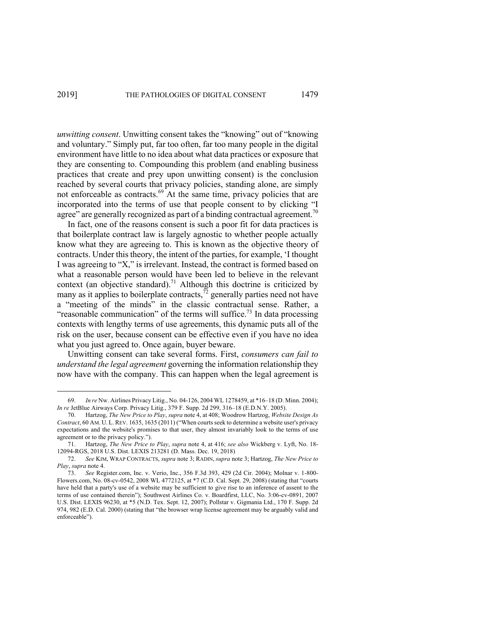*unwitting consent*. Unwitting consent takes the "knowing" out of "knowing and voluntary." Simply put, far too often, far too many people in the digital environment have little to no idea about what data practices or exposure that they are consenting to. Compounding this problem (and enabling business practices that create and prey upon unwitting consent) is the conclusion reached by several courts that privacy policies, standing alone, are simply not enforceable as contracts.<sup>69</sup> At the same time, privacy policies that are incorporated into the terms of use that people consent to by clicking "I agree" are generally recognized as part of a binding contractual agreement.<sup>70</sup>

In fact, one of the reasons consent is such a poor fit for data practices is that boilerplate contract law is largely agnostic to whether people actually know what they are agreeing to. This is known as the objective theory of contracts. Under this theory, the intent of the parties, for example, 'I thought I was agreeing to "X," is irrelevant. Instead, the contract is formed based on what a reasonable person would have been led to believe in the relevant context (an objective standard).<sup>71</sup> Although this doctrine is criticized by many as it applies to boilerplate contracts, $\tilde{r}^2$  generally parties need not have a "meeting of the minds" in the classic contractual sense. Rather, a "reasonable communication" of the terms will suffice.<sup>73</sup> In data processing contexts with lengthy terms of use agreements, this dynamic puts all of the risk on the user, because consent can be effective even if you have no idea what you just agreed to. Once again, buyer beware.

Unwitting consent can take several forms. First, *consumers can fail to understand the legal agreement* governing the information relationship they now have with the company. This can happen when the legal agreement is

<sup>69.</sup> *In re* Nw. Airlines Privacy Litig., No. 04-126, 2004 WL 1278459, at \*16–18 (D. Minn. 2004); *In re* JetBlue Airways Corp. Privacy Litig., 379 F. Supp. 2d 299, 316–18 (E.D.N.Y. 2005).

<sup>70.</sup> Hartzog, *The New Price to Play*, *supra* note 4, at 408; Woodrow Hartzog, *Website Design As Contract*, 60 AM. U. L.REV. 1635, 1635 (2011) ("When courts seek to determine a website user's privacy expectations and the website's promises to that user, they almost invariably look to the terms of use agreement or to the privacy policy.").

<sup>71.</sup> Hartzog, *The New Price to Play*, *supra* note 4, at 416; *see also* Wickberg v. Lyft, No. 18- 12094-RGS, 2018 U.S. Dist. LEXIS 213281 (D. Mass. Dec. 19, 2018)

<sup>72.</sup> *See* KIM, WRAP CONTRACTS, *supra* note 3; RADIN, *supra* note 3; Hartzog, *The New Price to Play*, *supra* note 4.

<sup>73.</sup> *See* Register.com, Inc. v. Verio, Inc., 356 F.3d 393, 429 (2d Cir. 2004); Molnar v. 1-800- Flowers.com, No. 08-cv-0542, 2008 WL 4772125, at \*7 (C.D. Cal. Sept. 29, 2008) (stating that "courts have held that a party's use of a website may be sufficient to give rise to an inference of assent to the terms of use contained therein"); Southwest Airlines Co. v. Boardfirst, LLC, No. 3:06-cv-0891, 2007 U.S. Dist. LEXIS 96230, at \*5 (N.D. Tex. Sept. 12, 2007); Pollstar v. Gigmania Ltd., 170 F. Supp. 2d 974, 982 (E.D. Cal. 2000) (stating that "the browser wrap license agreement may be arguably valid and enforceable").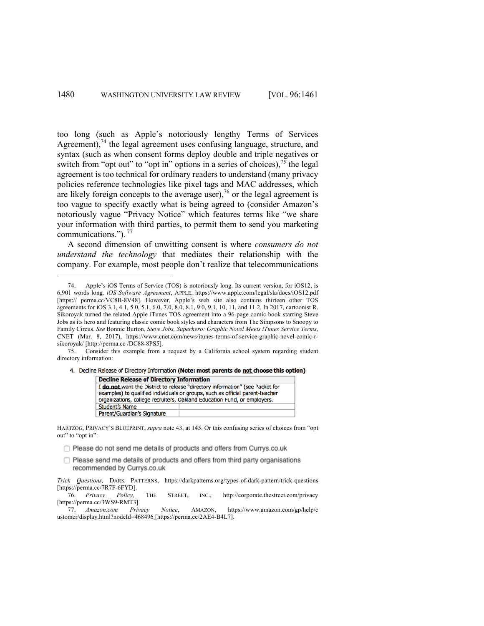too long (such as Apple's notoriously lengthy Terms of Services Agreement),<sup>74</sup> the legal agreement uses confusing language, structure, and syntax (such as when consent forms deploy double and triple negatives or switch from "opt out" to "opt in" options in a series of choices),  $^{75}$  the legal agreement is too technical for ordinary readers to understand (many privacy policies reference technologies like pixel tags and MAC addresses, which are likely foreign concepts to the average user),<sup>76</sup> or the legal agreement is too vague to specify exactly what is being agreed to (consider Amazon's notoriously vague "Privacy Notice" which features terms like "we share your information with third parties, to permit them to send you marketing communications.").<sup>77</sup>

A second dimension of unwitting consent is where *consumers do not understand the technology* that mediates their relationship with the company. For example, most people don't realize that telecommunications

<sup>4.</sup> Decline Release of Directory Information (Note: most parents do not choose this option)

| <b>Decline Release of Directory Information</b>                               |                                                                               |
|-------------------------------------------------------------------------------|-------------------------------------------------------------------------------|
| I do not want the District to release "directory information" (see Packet for |                                                                               |
|                                                                               | examples) to qualified individuals or groups, such as official parent-teacher |
| organizations, college recruiters, Oakland Education Fund, or employers.      |                                                                               |
| <b>Student's Name</b>                                                         |                                                                               |
| Parent/Guardian's Signature                                                   |                                                                               |
|                                                                               |                                                                               |

HARTZOG, PRIVACY'S BLUEPRINT, *supra* note 43, at 145. Or this confusing series of choices from "opt out" to "opt in":

- Please do not send me details of products and offers from Currys.co.uk
- $\Box$  Please send me details of products and offers from third party organisations recommended by Currys.co.uk

*Trick Questions,* DARK PATTERNS, https://darkpatterns.org/types-of-dark-pattern/trick-questions [https://perma.cc/7R7F-6FYD].

76. *Privacy Policy,* THE STREET, INC., http://corporate.thestreet.com/privacy [https://perma.cc/3WS9-RMT3].<br>77. Amazon.com Privacy

77. *Amazon.com Privacy Notice*, AMAZON, https://www.amazon.com/gp/help/c ustomer/display.html?nodeId=468496 [https://perma.cc/2AE4-B4L7].

<sup>74.</sup> Apple's iOS Terms of Service (TOS) is notoriously long. Its current version, for iOS12, is 6,901 words long. *iOS Software Agreement*, APPLE, https://www.apple.com/legal/sla/docs/iOS12.pdf [https:// perma.cc/VC8B-8V48]. However, Apple's web site also contains thirteen other TOS agreements for iOS 3.1, 4.1, 5.0, 5.1, 6.0, 7.0, 8.0, 8.1, 9.0, 9.1, 10, 11, and 11.2. In 2017, cartoonist R. Sikoroyak turned the related Apple iTunes TOS agreement into a 96-page comic book starring Steve Jobs as its hero and featuring classic comic book styles and characters from The Simpsons to Snoopy to Family Circus. *See* Bonnie Burton, *Steve Jobs, Superhero: Graphic Novel Meets iTunes Service Terms*, CNET (Mar. 8, 2017), https://www.cnet.com/news/itunes-terms-of-service-graphic-novel-comic-rsikoroyak/ [http://perma.cc /DC88-8PS5].

<sup>75.</sup> Consider this example from a request by a California school system regarding student directory information: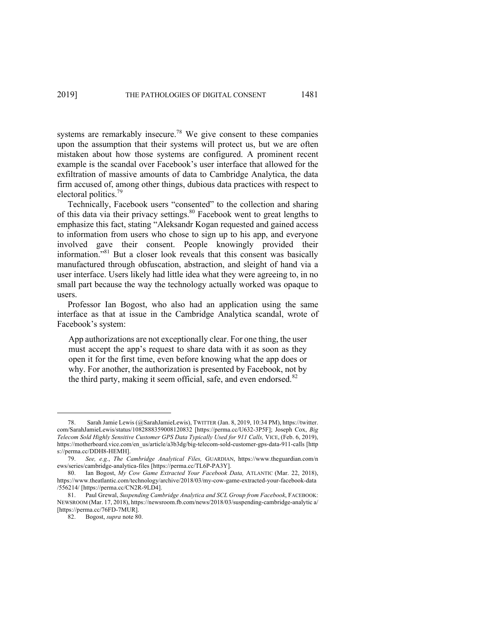systems are remarkably insecure.<sup>78</sup> We give consent to these companies upon the assumption that their systems will protect us, but we are often mistaken about how those systems are configured. A prominent recent example is the scandal over Facebook's user interface that allowed for the exfiltration of massive amounts of data to Cambridge Analytica, the data firm accused of, among other things, dubious data practices with respect to electoral politics.<sup>79</sup>

Technically, Facebook users "consented" to the collection and sharing of this data via their privacy settings.<sup>80</sup> Facebook went to great lengths to emphasize this fact, stating "Aleksandr Kogan requested and gained access to information from users who chose to sign up to his app, and everyone involved gave their consent. People knowingly provided their information."81 But a closer look reveals that this consent was basically manufactured through obfuscation, abstraction, and sleight of hand via a user interface. Users likely had little idea what they were agreeing to, in no small part because the way the technology actually worked was opaque to users.

Professor Ian Bogost, who also had an application using the same interface as that at issue in the Cambridge Analytica scandal, wrote of Facebook's system:

App authorizations are not exceptionally clear. For one thing, the user must accept the app's request to share data with it as soon as they open it for the first time, even before knowing what the app does or why. For another, the authorization is presented by Facebook, not by the third party, making it seem official, safe, and even endorsed. $82$ 

<sup>78.</sup> Sarah Jamie Lewis (@SarahJamieLewis), TWITTER (Jan. 8, 2019, 10:34 PM), https://twitter. com/SarahJamieLewis/status/1082888359008120832 [https://perma.cc/U632-3P5F]; Joseph Cox, *Big Telecom Sold Highly Sensitive Customer GPS Data Typically Used for 911 Calls, VICE, (Feb. 6, 2019),* https://motherboard.vice.com/en\_us/article/a3b3dg/big-telecom-sold-customer-gps-data-911-calls [http s://perma.cc/DDH8-HEMH].

<sup>79.</sup> *See, e.g.*, *The Cambridge Analytical Files,* GUARDIAN, https://www.theguardian.com/n ews/series/cambridge-analytica-files [https://perma.cc/TL6P-PA3Y].

<sup>80.</sup> Ian Bogost, *My Cow Game Extracted Your Facebook Data,* ATLANTIC (Mar. 22, 2018), https://www.theatlantic.com/technology/archive/2018/03/my-cow-game-extracted-your-facebook-data /556214/ [https://perma.cc/CN2R-9LD4].

<sup>81.</sup> Paul Grewal, *Suspending Cambridge Analytica and SCL Group from Facebook*, FACEBOOK: NEWSROOM (Mar. 17, 2018), https://newsroom.fb.com/news/2018/03/suspending-cambridge-analytic a/ [https://perma.cc/76FD-7MUR].

<sup>82.</sup> Bogost, *supra* note 80.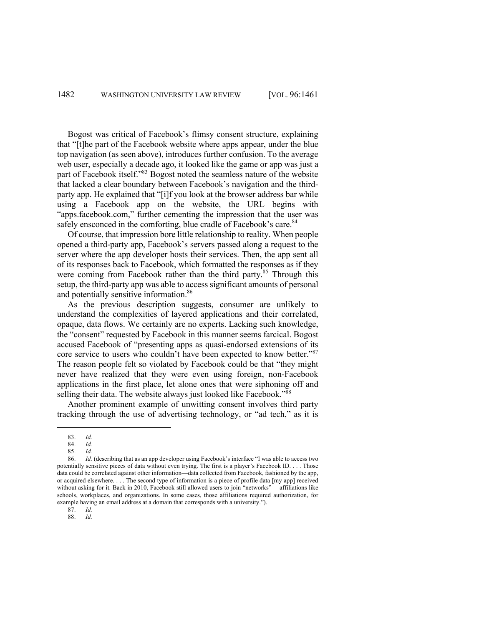Bogost was critical of Facebook's flimsy consent structure, explaining that "[t]he part of the Facebook website where apps appear, under the blue top navigation (as seen above), introduces further confusion. To the average web user, especially a decade ago, it looked like the game or app was just a part of Facebook itself."83 Bogost noted the seamless nature of the website that lacked a clear boundary between Facebook's navigation and the thirdparty app. He explained that "[i]f you look at the browser address bar while using a Facebook app on the website, the URL begins with "apps.facebook.com," further cementing the impression that the user was safely ensconced in the comforting, blue cradle of Facebook's care.<sup>84</sup>

Of course, that impression bore little relationship to reality. When people opened a third-party app, Facebook's servers passed along a request to the server where the app developer hosts their services. Then, the app sent all of its responses back to Facebook, which formatted the responses as if they were coming from Facebook rather than the third party.<sup>85</sup> Through this setup, the third-party app was able to access significant amounts of personal and potentially sensitive information.<sup>86</sup>

As the previous description suggests, consumer are unlikely to understand the complexities of layered applications and their correlated, opaque, data flows. We certainly are no experts. Lacking such knowledge, the "consent" requested by Facebook in this manner seems farcical. Bogost accused Facebook of "presenting apps as quasi-endorsed extensions of its core service to users who couldn't have been expected to know better."<sup>87</sup> The reason people felt so violated by Facebook could be that "they might never have realized that they were even using foreign, non-Facebook applications in the first place, let alone ones that were siphoning off and selling their data. The website always just looked like Facebook."<sup>88</sup>

Another prominent example of unwitting consent involves third party tracking through the use of advertising technology, or "ad tech," as it is

<sup>83.</sup> *Id.*

<sup>84.</sup> *Id.*

<sup>85.</sup> *Id.*

<sup>86.</sup> *Id.* (describing that as an app developer using Facebook's interface "I was able to access two potentially sensitive pieces of data without even trying. The first is a player's Facebook ID. . . . Those data could be correlated against other information—data collected from Facebook, fashioned by the app, or acquired elsewhere. . . . The second type of information is a piece of profile data [my app] received without asking for it. Back in 2010, Facebook still allowed users to join "networks" —affiliations like schools, workplaces, and organizations. In some cases, those affiliations required authorization, for example having an email address at a domain that corresponds with a university.").

<sup>87.</sup> *Id.*

<sup>88.</sup> *Id.*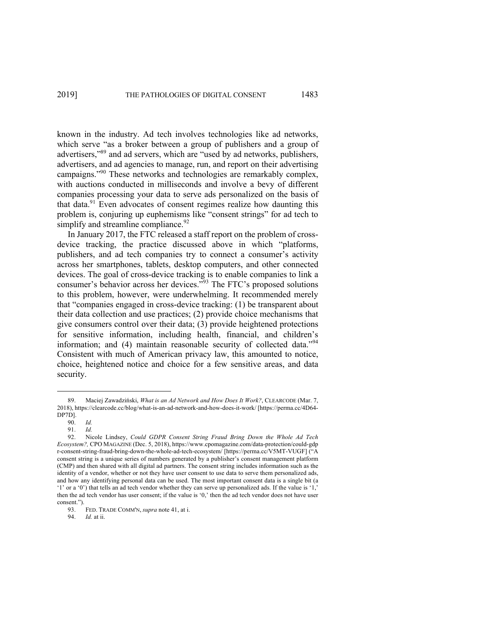known in the industry. Ad tech involves technologies like ad networks, which serve "as a broker between a group of publishers and a group of advertisers,"89 and ad servers, which are "used by ad networks, publishers, advertisers, and ad agencies to manage, run, and report on their advertising campaigns."<sup>90</sup> These networks and technologies are remarkably complex, with auctions conducted in milliseconds and involve a bevy of different companies processing your data to serve ads personalized on the basis of that data.<sup>91</sup> Even advocates of consent regimes realize how daunting this problem is, conjuring up euphemisms like "consent strings" for ad tech to simplify and streamline compliance.  $92$ 

In January 2017, the FTC released a staff report on the problem of crossdevice tracking, the practice discussed above in which "platforms, publishers, and ad tech companies try to connect a consumer's activity across her smartphones, tablets, desktop computers, and other connected devices. The goal of cross-device tracking is to enable companies to link a consumer's behavior across her devices."<sup>93</sup> The FTC's proposed solutions to this problem, however, were underwhelming. It recommended merely that "companies engaged in cross-device tracking: (1) be transparent about their data collection and use practices; (2) provide choice mechanisms that give consumers control over their data; (3) provide heightened protections for sensitive information, including health, financial, and children's information; and (4) maintain reasonable security of collected data."<sup>94</sup> Consistent with much of American privacy law, this amounted to notice, choice, heightened notice and choice for a few sensitive areas, and data security.

<sup>89.</sup> Maciej Zawadziński, *What is an Ad Network and How Does It Work?*, CLEARCODE (Mar. 7, 2018), https://clearcode.cc/blog/what-is-an-ad-network-and-how-does-it-work/ [https://perma.cc/4D64- DP7D].

<sup>90.</sup> *Id.*

<sup>91.</sup> *Id.*

<sup>92.</sup> Nicole Lindsey, *Could GDPR Consent String Fraud Bring Down the Whole Ad Tech Ecosystem?,* CPO MAGAZINE (Dec. 5, 2018), https://www.cpomagazine.com/data-protection/could-gdp r-consent-string-fraud-bring-down-the-whole-ad-tech-ecosystem/ [https://perma.cc/V5MT-VUGF] ("A consent string is a unique series of numbers generated by a publisher's consent management platform (CMP) and then shared with all digital ad partners. The consent string includes information such as the identity of a vendor, whether or not they have user consent to use data to serve them personalized ads, and how any identifying personal data can be used. The most important consent data is a single bit (a '1' or a '0') that tells an ad tech vendor whether they can serve up personalized ads. If the value is '1,' then the ad tech vendor has user consent; if the value is '0,' then the ad tech vendor does not have user consent.").<br> $93.$ 

<sup>93.</sup> FED. TRADE COMM'N, *supra* note 41, at i.

<sup>94.</sup> *Id.* at ii.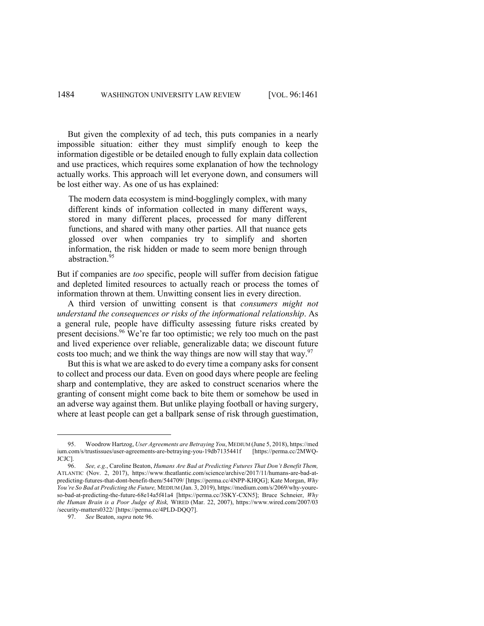But given the complexity of ad tech, this puts companies in a nearly impossible situation: either they must simplify enough to keep the information digestible or be detailed enough to fully explain data collection and use practices, which requires some explanation of how the technology actually works. This approach will let everyone down, and consumers will be lost either way. As one of us has explained:

The modern data ecosystem is mind-bogglingly complex, with many different kinds of information collected in many different ways, stored in many different places, processed for many different functions, and shared with many other parties. All that nuance gets glossed over when companies try to simplify and shorten information, the risk hidden or made to seem more benign through abstraction.<sup>95</sup>

But if companies are *too* specific, people will suffer from decision fatigue and depleted limited resources to actually reach or process the tomes of information thrown at them. Unwitting consent lies in every direction.

A third version of unwitting consent is that *consumers might not understand the consequences or risks of the informational relationship*. As a general rule, people have difficulty assessing future risks created by present decisions.<sup>96</sup> We're far too optimistic; we rely too much on the past and lived experience over reliable, generalizable data; we discount future costs too much; and we think the way things are now will stay that way.<sup>97</sup>

But this is what we are asked to do every time a company asks for consent to collect and process our data. Even on good days where people are feeling sharp and contemplative, they are asked to construct scenarios where the granting of consent might come back to bite them or somehow be used in an adverse way against them. But unlike playing football or having surgery, where at least people can get a ballpark sense of risk through guestimation,

<sup>95.</sup> Woodrow Hartzog, *User Agreements are Betraying You*, MEDIUM (June 5, 2018), https://med ium.com/s/trustissues/user-agreements-are-betraying-you-19db7135441f [https://perma.cc/2MWQ-JCJC].

<sup>96.</sup> *See, e.g.*, Caroline Beaton, *Humans Are Bad at Predicting Futures That Don't Benefit Them,*  ATLANTIC (Nov. 2, 2017), https://www.theatlantic.com/science/archive/2017/11/humans-are-bad-atpredicting-futures-that-dont-benefit-them/544709/ [https://perma.cc/4NPP-KHQG]; Kate Morgan, *Why You're So Bad at Predicting the Future,* MEDIUM (Jan. 3, 2019), https://medium.com/s/2069/why-youreso-bad-at-predicting-the-future-68e14a5f41a4 [https://perma.cc/3SKY-CXN5]; Bruce Schneier, *Why the Human Brain is a Poor Judge of Risk,* WIRED (Mar. 22, 2007), https://www.wired.com/2007/03 /security-matters0322/ [https://perma.cc/4PLD-DQQ7].

<sup>97.</sup> *See* Beaton, *supra* note 96.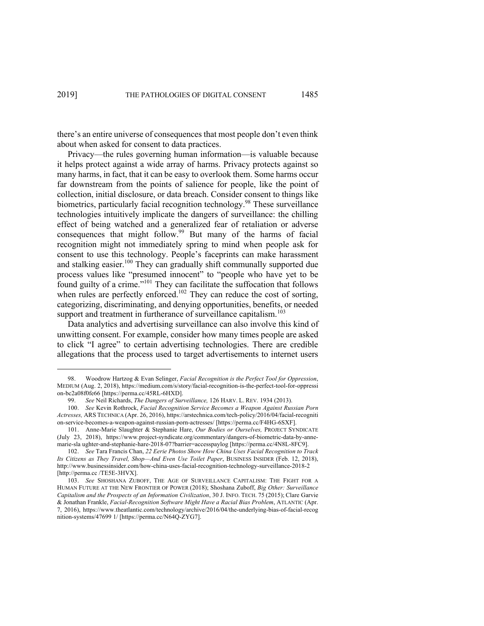there's an entire universe of consequences that most people don't even think about when asked for consent to data practices.

Privacy—the rules governing human information—is valuable because it helps protect against a wide array of harms. Privacy protects against so many harms, in fact, that it can be easy to overlook them. Some harms occur far downstream from the points of salience for people, like the point of collection, initial disclosure, or data breach. Consider consent to things like biometrics, particularly facial recognition technology.<sup>98</sup> These surveillance technologies intuitively implicate the dangers of surveillance: the chilling effect of being watched and a generalized fear of retaliation or adverse consequences that might follow.<sup>99</sup> But many of the harms of facial recognition might not immediately spring to mind when people ask for consent to use this technology. People's faceprints can make harassment and stalking easier.<sup>100</sup> They can gradually shift communally supported due process values like "presumed innocent" to "people who have yet to be found guilty of a crime."101 They can facilitate the suffocation that follows when rules are perfectly enforced.<sup>102</sup> They can reduce the cost of sorting, categorizing, discriminating, and denying opportunities, benefits, or needed support and treatment in furtherance of surveillance capitalism.<sup>103</sup>

Data analytics and advertising surveillance can also involve this kind of unwitting consent. For example, consider how many times people are asked to click "I agree" to certain advertising technologies. There are credible allegations that the process used to target advertisements to internet users

<sup>98.</sup> Woodrow Hartzog & Evan Selinger, *Facial Recognition is the Perfect Tool for Oppression*, MEDIUM (Aug. 2, 2018), https://medium.com/s/story/facial-recognition-is-the-perfect-tool-for-oppressi on-bc2a08f0fe66 [https://perma.cc/45RL-6HXD].

<sup>99.</sup> *See* Neil Richards, *The Dangers of Surveillance,* 126 HARV. L. REV. 1934 (2013).

<sup>100.</sup> *See* Kevin Rothrock, *Facial Recognition Service Becomes a Weapon Against Russian Porn Actresses,* ARS TECHNICA (Apr. 26, 2016), https://arstechnica.com/tech-policy/2016/04/facial-recogniti on-service-becomes-a-weapon-against-russian-porn-actresses/ [https://perma.cc/F4HG-6SXF].

<sup>101.</sup> Anne-Marie Slaughter & Stephanie Hare, *Our Bodies or Ourselves,* PROJECT SYNDICATE (July 23, 2018), https://www.project-syndicate.org/commentary/dangers-of-biometric-data-by-annemarie-sla ughter-and-stephanie-hare-2018-07?barrier=accesspaylog [https://perma.cc/4N8L-8FC9].

<sup>102.</sup> *See* Tara Francis Chan, *22 Eerie Photos Show How China Uses Facial Recognition to Track Its Citizens as They Travel, Shop—And Even Use Toilet Paper*, BUSINESS INSIDER (Feb. 12, 2018), http://www.businessinsider.com/how-china-uses-facial-recognition-technology-surveillance-2018-2 [http://perma.cc /TE5E-3HVX].

<sup>103.</sup> *See* SHOSHANA ZUBOFF, THE AGE OF SURVEILLANCE CAPITALISM: THE FIGHT FOR A HUMAN FUTURE AT THE NEW FRONTIER OF POWER (2018); Shoshana Zuboff, *Big Other: Surveillance Capitalism and the Prospects of an Information Civilization*, 30 J. INFO. TECH. 75 (2015); Clare Garvie & Jonathan Frankle, *Facial-Recognition Software Might Have a Racial Bias Problem*, ATLANTIC (Apr. 7, 2016), https://www.theatlantic.com/technology/archive/2016/04/the-underlying-bias-of-facial-recog nition-systems/47699 1/ [https://perma.cc/N64Q-ZYG7].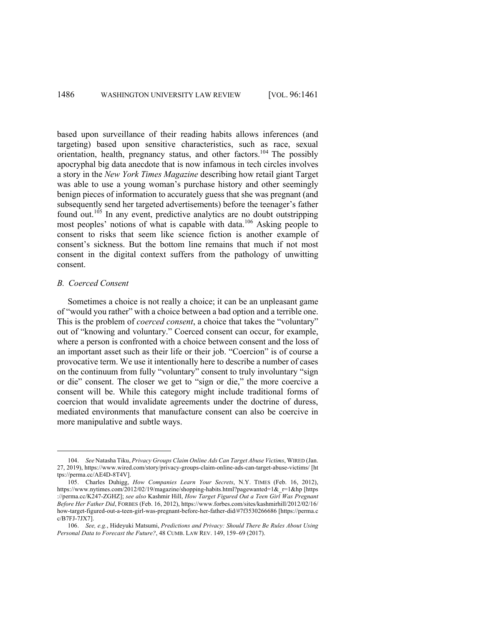based upon surveillance of their reading habits allows inferences (and targeting) based upon sensitive characteristics, such as race, sexual orientation, health, pregnancy status, and other factors.<sup>104</sup> The possibly apocryphal big data anecdote that is now infamous in tech circles involves a story in the *New York Times Magazine* describing how retail giant Target was able to use a young woman's purchase history and other seemingly benign pieces of information to accurately guess that she was pregnant (and subsequently send her targeted advertisements) before the teenager's father found out.<sup>105</sup> In any event, predictive analytics are no doubt outstripping most peoples' notions of what is capable with data.<sup>106</sup> Asking people to consent to risks that seem like science fiction is another example of consent's sickness. But the bottom line remains that much if not most consent in the digital context suffers from the pathology of unwitting consent.

### *B. Coerced Consent*

Sometimes a choice is not really a choice; it can be an unpleasant game of "would you rather" with a choice between a bad option and a terrible one. This is the problem of *coerced consent*, a choice that takes the "voluntary" out of "knowing and voluntary." Coerced consent can occur, for example, where a person is confronted with a choice between consent and the loss of an important asset such as their life or their job. "Coercion" is of course a provocative term. We use it intentionally here to describe a number of cases on the continuum from fully "voluntary" consent to truly involuntary "sign or die" consent. The closer we get to "sign or die," the more coercive a consent will be. While this category might include traditional forms of coercion that would invalidate agreements under the doctrine of duress, mediated environments that manufacture consent can also be coercive in more manipulative and subtle ways.

<sup>104.</sup> *See* Natasha Tiku, *Privacy Groups Claim Online Ads Can Target Abuse Victims*, WIRED (Jan. 27, 2019), https://www.wired.com/story/privacy-groups-claim-online-ads-can-target-abuse-victims/ [ht tps://perma.cc/AE4D-8T4V].

<sup>105.</sup> Charles Duhigg, *How Companies Learn Your Secrets*, N.Y. TIMES (Feb. 16, 2012), https://www.nytimes.com/2012/02/19/magazine/shopping-habits.html?pagewanted=1&\_r=1&hp [https ://perma.cc/K247-ZGHZ]; *see also* Kashmir Hill, *How Target Figured Out a Teen Girl Was Pregnant Before Her Father Did*, FORBES (Feb. 16, 2012), https://www.forbes.com/sites/kashmirhill/2012/02/16/ how-target-figured-out-a-teen-girl-was-pregnant-before-her-father-did/#7f3530266686 [https://perma.c c/B7FJ-7JX7].

<sup>106.</sup> *See, e.g.*, Hideyuki Matsumi, *Predictions and Privacy: Should There Be Rules About Using Personal Data to Forecast the Future?*, 48 CUMB. LAW REV. 149, 159–69 (2017).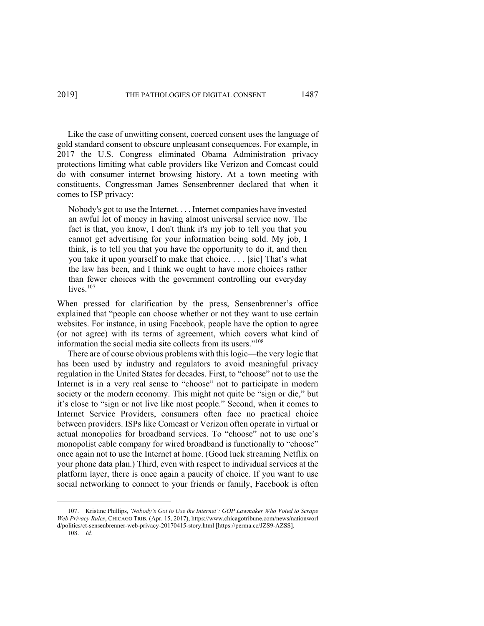Like the case of unwitting consent, coerced consent uses the language of gold standard consent to obscure unpleasant consequences. For example, in 2017 the U.S. Congress eliminated Obama Administration privacy protections limiting what cable providers like Verizon and Comcast could do with consumer internet browsing history. At a town meeting with constituents, Congressman James Sensenbrenner declared that when it comes to ISP privacy:

Nobody's got to use the Internet. . . . Internet companies have invested an awful lot of money in having almost universal service now. The fact is that, you know, I don't think it's my job to tell you that you cannot get advertising for your information being sold. My job, I think, is to tell you that you have the opportunity to do it, and then you take it upon yourself to make that choice. . . . [sic] That's what the law has been, and I think we ought to have more choices rather than fewer choices with the government controlling our everyday lives. $107$ 

When pressed for clarification by the press, Sensenbrenner's office explained that "people can choose whether or not they want to use certain websites. For instance, in using Facebook, people have the option to agree (or not agree) with its terms of agreement, which covers what kind of information the social media site collects from its users."<sup>108</sup>

There are of course obvious problems with this logic—the very logic that has been used by industry and regulators to avoid meaningful privacy regulation in the United States for decades. First, to "choose" not to use the Internet is in a very real sense to "choose" not to participate in modern society or the modern economy. This might not quite be "sign or die," but it's close to "sign or not live like most people." Second, when it comes to Internet Service Providers, consumers often face no practical choice between providers. ISPs like Comcast or Verizon often operate in virtual or actual monopolies for broadband services. To "choose" not to use one's monopolist cable company for wired broadband is functionally to "choose" once again not to use the Internet at home. (Good luck streaming Netflix on your phone data plan.) Third, even with respect to individual services at the platform layer, there is once again a paucity of choice. If you want to use social networking to connect to your friends or family, Facebook is often

<sup>107.</sup> Kristine Phillips, *'Nobody's Got to Use the Internet': GOP Lawmaker Who Voted to Scrape Web Privacy Rules*, CHICAGO TRIB. (Apr. 15, 2017), https://www.chicagotribune.com/news/nationworl d/politics/ct-sensenbrenner-web-privacy-20170415-story.html [https://perma.cc/JZS9-AZSS].

<sup>108.</sup> *Id.*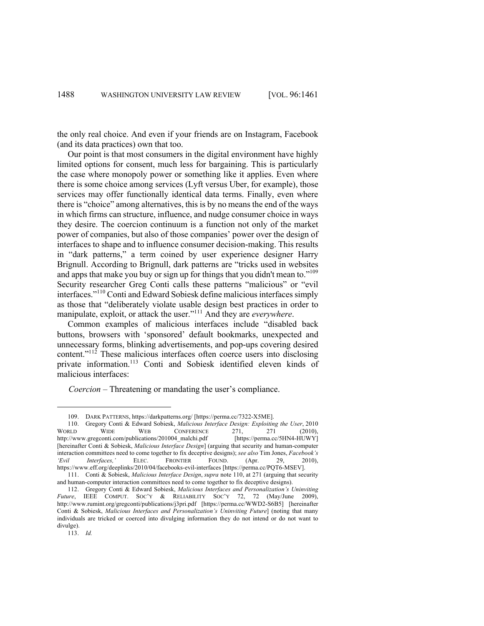the only real choice. And even if your friends are on Instagram, Facebook (and its data practices) own that too.

Our point is that most consumers in the digital environment have highly limited options for consent, much less for bargaining. This is particularly the case where monopoly power or something like it applies. Even where there is some choice among services (Lyft versus Uber, for example), those services may offer functionally identical data terms. Finally, even where there is "choice" among alternatives, this is by no means the end of the ways in which firms can structure, influence, and nudge consumer choice in ways they desire. The coercion continuum is a function not only of the market power of companies, but also of those companies' power over the design of interfaces to shape and to influence consumer decision-making. This results in "dark patterns," a term coined by user experience designer Harry Brignull. According to Brignull, dark patterns are "tricks used in websites and apps that make you buy or sign up for things that you didn't mean to."<sup>109</sup> Security researcher Greg Conti calls these patterns "malicious" or "evil interfaces."<sup>110</sup> Conti and Edward Sobiesk define malicious interfaces simply as those that "deliberately violate usable design best practices in order to manipulate, exploit, or attack the user."111 And they are *everywhere*.

Common examples of malicious interfaces include "disabled back buttons, browsers with 'sponsored' default bookmarks, unexpected and unnecessary forms, blinking advertisements, and pop-ups covering desired content."<sup>112</sup> These malicious interfaces often coerce users into disclosing private information.<sup>113</sup> Conti and Sobiesk identified eleven kinds of malicious interfaces:

*Coercion* – Threatening or mandating the user's compliance.

<sup>109.</sup> DARK PATTERNS, https://darkpatterns.org/ [https://perma.cc/7322-X5ME].

<sup>110.</sup> Gregory Conti & Edward Sobiesk, *Malicious Interface Design: Exploiting the User*, 2010 WORLD WIDE WEB CONFERENCE 271, 271 (2010),<br>http://www.gregconti.com/publications/201004 malchi.pdf [https://perma.cc/5HN4-HUWY] http://www.gregconti.com/publications/201004 malchi.pdf [hereinafter Conti & Sobiesk, *Malicious Interface Design*] (arguing that security and human-computer interaction committees need to come together to fix deceptive designs); *see also* Tim Jones, *Facebook's 'Evil Interfaces,'* ELEC. FRONTIER FOUND. (Apr. 29, 2010), https://www.eff.org/deeplinks/2010/04/facebooks-evil-interfaces [https://perma.cc/PQT6-MSEV]. 111. Conti & Sobiesk, *Malicious Interface Design*, *supra* note 110, at 271 (arguing that security

and human-computer interaction committees need to come together to fix deceptive designs).

<sup>112.</sup> Gregory Conti & Edward Sobiesk, *Malicious Interfaces and Personalization's Uninviting Future*, IEEE COMPUT. SOC'Y & RELIABILITY SOC'Y 72, 72 (May/June 2009), http://www.rumint.org/gregconti/publications/j3pri.pdf [https://perma.cc/WWD2-S6B5] [hereinafter Conti & Sobiesk, *Malicious Interfaces and Personalization's Uninviting Future*] (noting that many individuals are tricked or coerced into divulging information they do not intend or do not want to divulge).

<sup>113.</sup> *Id.*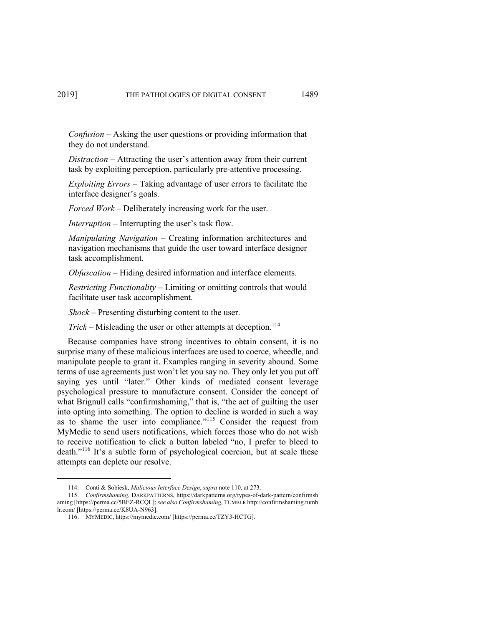*Confusion* – Asking the user questions or providing information that they do not understand.

*Distraction* – Attracting the user's attention away from their current task by exploiting perception, particularly pre-attentive processing.

*Exploiting Errors* – Taking advantage of user errors to facilitate the interface designer's goals.

*Forced Work* – Deliberately increasing work for the user.

*Interruption* – Interrupting the user's task flow.

*Manipulating Navigation* – Creating information architectures and navigation mechanisms that guide the user toward interface designer task accomplishment.

*Obfuscation* – Hiding desired information and interface elements.

*Restricting Functionality* – Limiting or omitting controls that would facilitate user task accomplishment.

*Shock* – Presenting disturbing content to the user.

*Trick* – Misleading the user or other attempts at deception.<sup>114</sup>

Because companies have strong incentives to obtain consent, it is no surprise many of these malicious interfaces are used to coerce, wheedle, and manipulate people to grant it. Examples ranging in severity abound. Some terms of use agreements just won't let you say no. They only let you put off saying yes until "later." Other kinds of mediated consent leverage psychological pressure to manufacture consent. Consider the concept of what Brignull calls "confirmshaming," that is, "the act of guilting the user into opting into something. The option to decline is worded in such a way as to shame the user into compliance."<sup>115</sup> Consider the request from MyMedic to send users notifications, which forces those who do not wish to receive notification to click a button labeled "no, I prefer to bleed to death."116 It's a subtle form of psychological coercion, but at scale these attempts can deplete our resolve.

<sup>114.</sup> Conti & Sobiesk, *Malicious Interface Design*, *supra* note 110, at 273.

<sup>115.</sup> *Confirmshaming*, DARKPATTERNS, https://darkpatterns.org/types-of-dark-pattern/confirmsh aming [https://perma.cc/5BEZ-RCQL]; *see also Confirmshaming*, TUMBLR http://confirmshaming.tumb lr.com/ [https://perma.cc/K8UA-N963].

<sup>116.</sup> MYMEDIC, https://mymedic.com/ [https://perma.cc/TZY3-HCTG].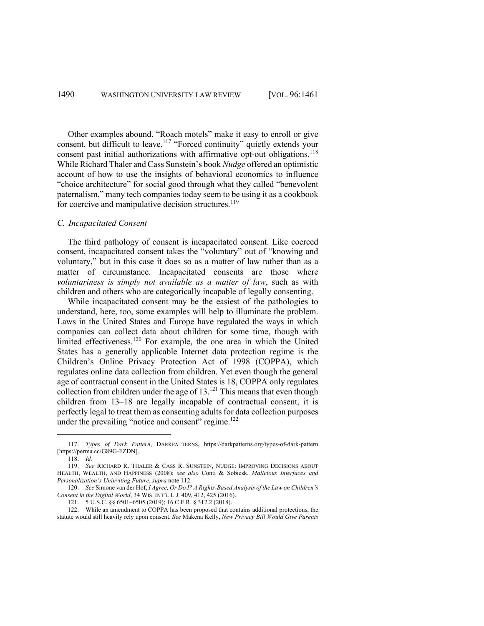Other examples abound. "Roach motels" make it easy to enroll or give consent, but difficult to leave.<sup>117</sup> "Forced continuity" quietly extends your consent past initial authorizations with affirmative opt-out obligations.<sup>118</sup> While Richard Thaler and Cass Sunstein's book *Nudge* offered an optimistic account of how to use the insights of behavioral economics to influence "choice architecture" for social good through what they called "benevolent paternalism," many tech companies today seem to be using it as a cookbook for coercive and manipulative decision structures.<sup>119</sup>

#### *C. Incapacitated Consent*

The third pathology of consent is incapacitated consent. Like coerced consent, incapacitated consent takes the "voluntary" out of "knowing and voluntary," but in this case it does so as a matter of law rather than as a matter of circumstance. Incapacitated consents are those where *voluntariness is simply not available as a matter of law*, such as with children and others who are categorically incapable of legally consenting.

While incapacitated consent may be the easiest of the pathologies to understand, here, too, some examples will help to illuminate the problem. Laws in the United States and Europe have regulated the ways in which companies can collect data about children for some time, though with limited effectiveness.<sup>120</sup> For example, the one area in which the United States has a generally applicable Internet data protection regime is the Children's Online Privacy Protection Act of 1998 (COPPA), which regulates online data collection from children. Yet even though the general age of contractual consent in the United States is 18, COPPA only regulates collection from children under the age of 13.<sup>121</sup> This means that even though children from 13–18 are legally incapable of contractual consent, it is perfectly legal to treat them as consenting adults for data collection purposes under the prevailing "notice and consent" regime. $122$ 

<sup>117.</sup> *Types of Dark Pattern*, DARKPATTERNS, https://darkpatterns.org/types-of-dark-pattern [https://perma.cc/G89G-FZDN].

<sup>118.</sup> *Id.*

<sup>119.</sup> *See* RICHARD R. THALER & CASS R. SUNSTEIN, NUDGE: IMPROVING DECISIONS ABOUT HEALTH, WEALTH, AND HAPPINESS (2008); *see also* Conti & Sobiesk, *Malicious Interfaces and Personalization's Uninviting Future*, *supra* note 112.

<sup>120.</sup> *See* Simone van der Hof, *I Agree, Or Do I? A Rights-Based Analysis of the Law on Children's Consent in the Digital World*, 34 WIS. INT'L L.J. 409, 412, 425 (2016).

<sup>121.</sup> 5 U.S.C. §§ 6501–6505 (2019); 16 C.F.R. § 312.2 (2018).

<sup>122.</sup> While an amendment to COPPA has been proposed that contains additional protections, the statute would still heavily rely upon consent. *See* Makena Kelly, *New Privacy Bill Would Give Parents*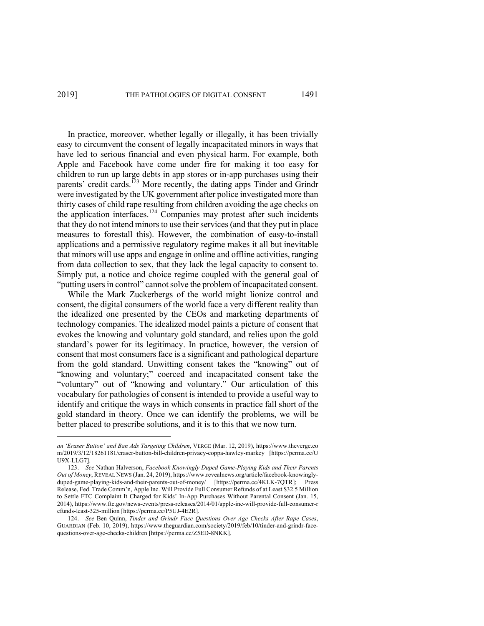In practice, moreover, whether legally or illegally, it has been trivially easy to circumvent the consent of legally incapacitated minors in ways that have led to serious financial and even physical harm. For example, both Apple and Facebook have come under fire for making it too easy for children to run up large debts in app stores or in-app purchases using their parents' credit cards.<sup>123</sup> More recently, the dating apps Tinder and Grindr were investigated by the UK government after police investigated more than thirty cases of child rape resulting from children avoiding the age checks on the application interfaces.<sup>124</sup> Companies may protest after such incidents that they do not intend minors to use their services (and that they put in place measures to forestall this). However, the combination of easy-to-install applications and a permissive regulatory regime makes it all but inevitable that minors will use apps and engage in online and offline activities, ranging from data collection to sex, that they lack the legal capacity to consent to. Simply put, a notice and choice regime coupled with the general goal of "putting users in control" cannot solve the problem of incapacitated consent.

While the Mark Zuckerbergs of the world might lionize control and consent, the digital consumers of the world face a very different reality than the idealized one presented by the CEOs and marketing departments of technology companies. The idealized model paints a picture of consent that evokes the knowing and voluntary gold standard, and relies upon the gold standard's power for its legitimacy. In practice, however, the version of consent that most consumers face is a significant and pathological departure from the gold standard. Unwitting consent takes the "knowing" out of "knowing and voluntary;" coerced and incapacitated consent take the "voluntary" out of "knowing and voluntary." Our articulation of this vocabulary for pathologies of consent is intended to provide a useful way to identify and critique the ways in which consents in practice fall short of the gold standard in theory. Once we can identify the problems, we will be better placed to prescribe solutions, and it is to this that we now turn.

*an 'Eraser Button' and Ban Ads Targeting Children*, VERGE (Mar. 12, 2019), https://www.theverge.co m/2019/3/12/18261181/eraser-button-bill-children-privacy-coppa-hawley-markey [https://perma.cc/U U9X-LLG7].

<sup>123.</sup> *See* Nathan Halverson, *Facebook Knowingly Duped Game-Playing Kids and Their Parents Out of Money*, REVEAL NEWS (Jan. 24, 2019), https://www.revealnews.org/article/facebook-knowinglyduped-game-playing-kids-and-their-parents-out-of-money/ [https://perma.cc/4KLK-7QTR]; Press Release, Fed. Trade Comm'n, Apple Inc. Will Provide Full Consumer Refunds of at Least \$32.5 Million to Settle FTC Complaint It Charged for Kids' In-App Purchases Without Parental Consent (Jan. 15, 2014), https://www.ftc.gov/news-events/press-releases/2014/01/apple-inc-will-provide-full-consumer-r efunds-least-325-million [https://perma.cc/P5UJ-4E2R].

<sup>124.</sup> *See* Ben Quinn, *Tinder and Grindr Face Questions Over Age Checks After Rape Cases*, GUARDIAN (Feb. 10, 2019), https://www.theguardian.com/society/2019/feb/10/tinder-and-grindr-facequestions-over-age-checks-children [https://perma.cc/Z5ED-8NKK].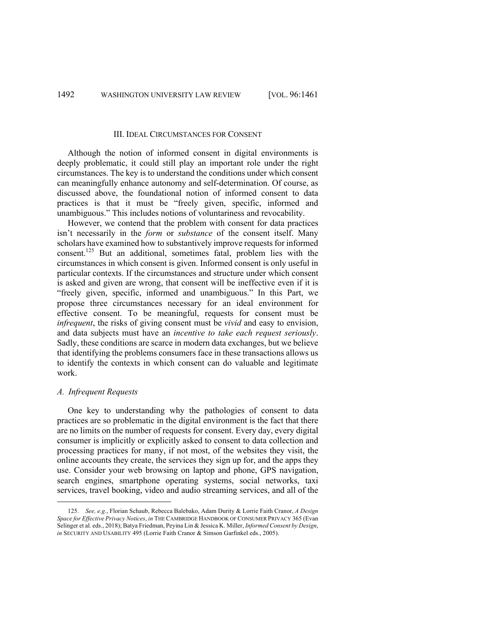#### III. IDEAL CIRCUMSTANCES FOR CONSENT

Although the notion of informed consent in digital environments is deeply problematic, it could still play an important role under the right circumstances. The key is to understand the conditions under which consent can meaningfully enhance autonomy and self-determination. Of course, as discussed above, the foundational notion of informed consent to data practices is that it must be "freely given, specific, informed and unambiguous." This includes notions of voluntariness and revocability.

However, we contend that the problem with consent for data practices isn't necessarily in the *form* or *substance* of the consent itself. Many scholars have examined how to substantively improve requests for informed consent.125 But an additional, sometimes fatal, problem lies with the circumstances in which consent is given. Informed consent is only useful in particular contexts. If the circumstances and structure under which consent is asked and given are wrong, that consent will be ineffective even if it is "freely given, specific, informed and unambiguous." In this Part, we propose three circumstances necessary for an ideal environment for effective consent. To be meaningful, requests for consent must be *infrequent*, the risks of giving consent must be *vivid* and easy to envision, and data subjects must have an *incentive to take each request seriously*. Sadly, these conditions are scarce in modern data exchanges, but we believe that identifying the problems consumers face in these transactions allows us to identify the contexts in which consent can do valuable and legitimate work.

#### *A. Infrequent Requests*

One key to understanding why the pathologies of consent to data practices are so problematic in the digital environment is the fact that there are no limits on the number of requests for consent. Every day, every digital consumer is implicitly or explicitly asked to consent to data collection and processing practices for many, if not most, of the websites they visit, the online accounts they create, the services they sign up for, and the apps they use. Consider your web browsing on laptop and phone, GPS navigation, search engines, smartphone operating systems, social networks, taxi services, travel booking, video and audio streaming services, and all of the

<sup>125.</sup> *See, e.g.*, Florian Schaub, Rebecca Balebako, Adam Durity & Lorrie Faith Cranor, *A Design Space for Effective Privacy Notices*, *in* THE CAMBRIDGE HANDBOOK OF CONSUMER PRIVACY 365 (Evan Selinger et al. eds., 2018); Batya Friedman, Peyina Lin & Jessica K. Miller, *Informed Consent by Design*, *in* SECURITY AND USABILITY 495 (Lorrie Faith Cranor & Simson Garfinkel eds., 2005).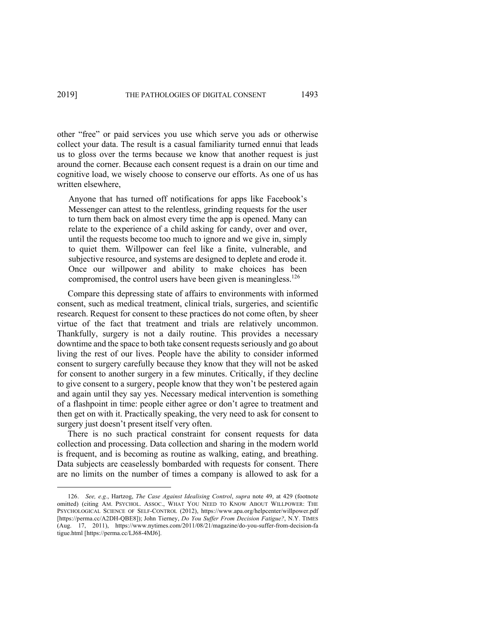other "free" or paid services you use which serve you ads or otherwise collect your data. The result is a casual familiarity turned ennui that leads us to gloss over the terms because we know that another request is just around the corner. Because each consent request is a drain on our time and cognitive load, we wisely choose to conserve our efforts. As one of us has written elsewhere,

Anyone that has turned off notifications for apps like Facebook's Messenger can attest to the relentless, grinding requests for the user to turn them back on almost every time the app is opened. Many can relate to the experience of a child asking for candy, over and over, until the requests become too much to ignore and we give in, simply to quiet them. Willpower can feel like a finite, vulnerable, and subjective resource, and systems are designed to deplete and erode it. Once our willpower and ability to make choices has been compromised, the control users have been given is meaningless.<sup>126</sup>

Compare this depressing state of affairs to environments with informed consent, such as medical treatment, clinical trials, surgeries, and scientific research. Request for consent to these practices do not come often, by sheer virtue of the fact that treatment and trials are relatively uncommon. Thankfully, surgery is not a daily routine. This provides a necessary downtime and the space to both take consent requests seriously and go about living the rest of our lives. People have the ability to consider informed consent to surgery carefully because they know that they will not be asked for consent to another surgery in a few minutes. Critically, if they decline to give consent to a surgery, people know that they won't be pestered again and again until they say yes. Necessary medical intervention is something of a flashpoint in time: people either agree or don't agree to treatment and then get on with it. Practically speaking, the very need to ask for consent to surgery just doesn't present itself very often.

There is no such practical constraint for consent requests for data collection and processing. Data collection and sharing in the modern world is frequent, and is becoming as routine as walking, eating, and breathing. Data subjects are ceaselessly bombarded with requests for consent. There are no limits on the number of times a company is allowed to ask for a

<sup>126.</sup> *See, e.g.*, Hartzog, *The Case Against Idealising Control*, *supra* note 49, at 429 (footnote omitted) (citing AM. PSYCHOL. ASSOC., WHAT YOU NEED TO KNOW ABOUT WILLPOWER: THE PSYCHOLOGICAL SCIENCE OF SELF-CONTROL (2012), https://www.apa.org/helpcenter/willpower.pdf [https://perma.cc/A2DH-QBE8]); John Tierney, *Do You Suffer From Decision Fatigue?*, N.Y. TIMES (Aug. 17, 2011), https://www.nytimes.com/2011/08/21/magazine/do-you-suffer-from-decision-fa tigue.html [https://perma.cc/LJ68-4MJ6].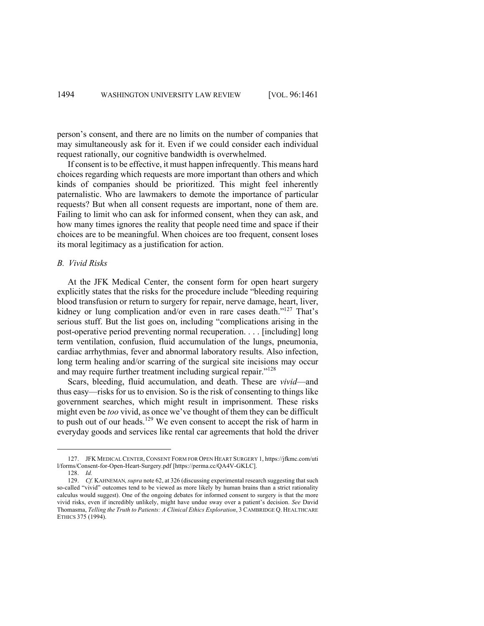person's consent, and there are no limits on the number of companies that may simultaneously ask for it. Even if we could consider each individual request rationally, our cognitive bandwidth is overwhelmed.

If consent is to be effective, it must happen infrequently. This means hard choices regarding which requests are more important than others and which kinds of companies should be prioritized. This might feel inherently paternalistic. Who are lawmakers to demote the importance of particular requests? But when all consent requests are important, none of them are. Failing to limit who can ask for informed consent, when they can ask, and how many times ignores the reality that people need time and space if their choices are to be meaningful. When choices are too frequent, consent loses its moral legitimacy as a justification for action.

### *B. Vivid Risks*

At the JFK Medical Center, the consent form for open heart surgery explicitly states that the risks for the procedure include "bleeding requiring blood transfusion or return to surgery for repair, nerve damage, heart, liver, kidney or lung complication and/or even in rare cases death."<sup>127</sup> That's serious stuff. But the list goes on, including "complications arising in the post-operative period preventing normal recuperation. . . . [including] long term ventilation, confusion, fluid accumulation of the lungs, pneumonia, cardiac arrhythmias, fever and abnormal laboratory results. Also infection, long term healing and/or scarring of the surgical site incisions may occur and may require further treatment including surgical repair."<sup>128</sup>

Scars, bleeding, fluid accumulation, and death. These are *vivid*—and thus easy—risks for us to envision. So is the risk of consenting to things like government searches, which might result in imprisonment. These risks might even be *too* vivid, as once we've thought of them they can be difficult to push out of our heads.<sup>129</sup> We even consent to accept the risk of harm in everyday goods and services like rental car agreements that hold the driver

<sup>127.</sup> JFK MEDICAL CENTER, CONSENT FORM FOR OPEN HEART SURGERY 1, https://jfkmc.com/uti l/forms/Consent-for-Open-Heart-Surgery.pdf [https://perma.cc/QA4V-GKLC].

<sup>128.</sup> *Id.*

<sup>129.</sup> *Cf.* KAHNEMAN*,supra* note 62, at 326 (discussing experimental research suggesting that such so-called "vivid" outcomes tend to be viewed as more likely by human brains than a strict rationality calculus would suggest). One of the ongoing debates for informed consent to surgery is that the more vivid risks, even if incredibly unlikely, might have undue sway over a patient's decision. *See* David Thomasma, *Telling the Truth to Patients: A Clinical Ethics Exploration*, 3 CAMBRIDGE Q. HEALTHCARE ETHICS 375 (1994).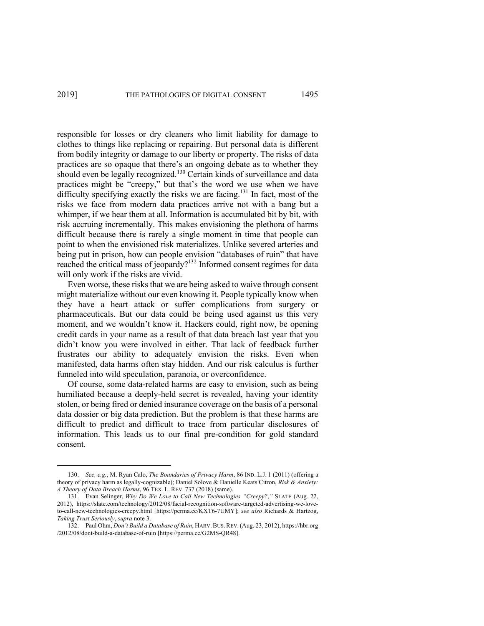responsible for losses or dry cleaners who limit liability for damage to clothes to things like replacing or repairing. But personal data is different from bodily integrity or damage to our liberty or property. The risks of data practices are so opaque that there's an ongoing debate as to whether they should even be legally recognized.<sup>130</sup> Certain kinds of surveillance and data practices might be "creepy," but that's the word we use when we have difficulty specifying exactly the risks we are facing.<sup>131</sup> In fact, most of the risks we face from modern data practices arrive not with a bang but a whimper, if we hear them at all. Information is accumulated bit by bit, with risk accruing incrementally. This makes envisioning the plethora of harms difficult because there is rarely a single moment in time that people can point to when the envisioned risk materializes. Unlike severed arteries and being put in prison, how can people envision "databases of ruin" that have reached the critical mass of jeopardy?<sup>132</sup> Informed consent regimes for data will only work if the risks are vivid.

Even worse, these risks that we are being asked to waive through consent might materialize without our even knowing it. People typically know when they have a heart attack or suffer complications from surgery or pharmaceuticals. But our data could be being used against us this very moment, and we wouldn't know it. Hackers could, right now, be opening credit cards in your name as a result of that data breach last year that you didn't know you were involved in either. That lack of feedback further frustrates our ability to adequately envision the risks. Even when manifested, data harms often stay hidden. And our risk calculus is further funneled into wild speculation, paranoia, or overconfidence.

Of course, some data-related harms are easy to envision, such as being humiliated because a deeply-held secret is revealed, having your identity stolen, or being fired or denied insurance coverage on the basis of a personal data dossier or big data prediction. But the problem is that these harms are difficult to predict and difficult to trace from particular disclosures of information. This leads us to our final pre-condition for gold standard consent.

<sup>130.</sup> *See, e.g.*, M. Ryan Calo, *The Boundaries of Privacy Harm*, 86 IND. L.J. 1 (2011) (offering a theory of privacy harm as legally-cognizable); Daniel Solove & Danielle Keats Citron, *Risk & Anxiety: A Theory of Data Breach Harms*, 96 TEX. L. REV. 737 (2018) (same).

<sup>131.</sup> Evan Selinger, *Why Do We Love to Call New Technologies "Creepy?*,*"* SLATE (Aug. 22, 2012), https://slate.com/technology/2012/08/facial-recognition-software-targeted-advertising-we-loveto-call-new-technologies-creepy.html [https://perma.cc/KXT6-7UMY]; *see also* Richards & Hartzog, *Taking Trust Seriously*, *supra* note 3.

<sup>132.</sup> Paul Ohm, *Don't Build a Database of Ruin*, HARV.BUS.REV.(Aug. 23, 2012), https://hbr.org /2012/08/dont-build-a-database-of-ruin [https://perma.cc/G2MS-QR48].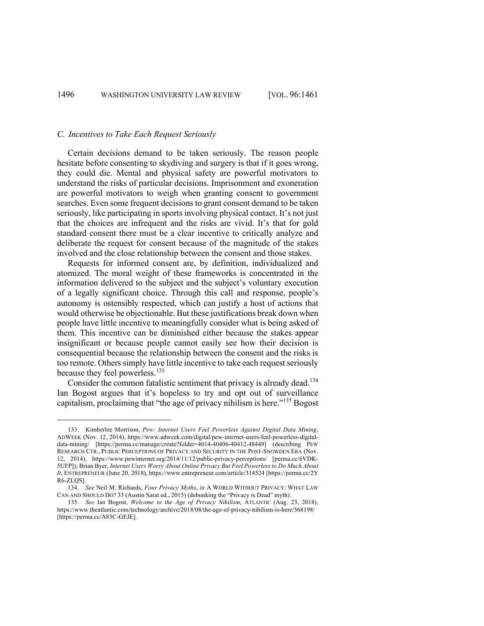### *C. Incentives to Take Each Request Seriously*

Certain decisions demand to be taken seriously. The reason people hesitate before consenting to skydiving and surgery is that if it goes wrong, they could die. Mental and physical safety are powerful motivators to understand the risks of particular decisions. Imprisonment and exoneration are powerful motivators to weigh when granting consent to government searches. Even some frequent decisions to grant consent demand to be taken seriously, like participating in sports involving physical contact. It's not just that the choices are infrequent and the risks are vivid. It's that for gold standard consent there must be a clear incentive to critically analyze and deliberate the request for consent because of the magnitude of the stakes involved and the close relationship between the consent and those stakes.

Requests for informed consent are, by definition, individualized and atomized. The moral weight of these frameworks is concentrated in the information delivered to the subject and the subject's voluntary execution of a legally significant choice. Through this call and response, people's autonomy is ostensibly respected, which can justify a host of actions that would otherwise be objectionable. But these justifications break down when people have little incentive to meaningfully consider what is being asked of them. This incentive can be diminished either because the stakes appear insignificant or because people cannot easily see how their decision is consequential because the relationship between the consent and the risks is too remote. Others simply have little incentive to take each request seriously because they feel powerless.<sup>133</sup>

Consider the common fatalistic sentiment that privacy is already dead.<sup>134</sup> Ian Bogost argues that it's hopeless to try and opt out of surveillance capitalism, proclaiming that "the age of privacy nihilism is here."<sup>135</sup> Bogost

<sup>133.</sup> Kimberlee Morrison, *Pew: Internet Users Feel Powerless Against Digital Data Mining*, ADWEEK (Nov. 12, 2014), https://www.adweek.com/digital/pew-internet-users-feel-powerless-digitaldata-mining/ [https://perma.cc/manage/create?folder=4014-40406-40412-48449] (describing PEW RESEARCH CTR., PUBLIC PERCEPTIONS OF PRIVACY AND SECURITY IN THE POST-SNOWDEN ERA (Nov. 12, 2014), https://www.pewinternet.org/2014/11/12/public-privacy-perceptions/ [perma.cc/6VDK-5UFP]); Brian Byer, *Internet Users Worry About Online Privacy But Feel Powerless to Do Much About It*, ENTREPRENEUR (June 20, 2018), https://www.entrepreneur.com/article/314524 [https://perma.cc/2Y R6-ZLQS].

<sup>134.</sup> *See* Neil M. Richards, *Four Privacy Myths*, *in* A WORLD WITHOUT PRIVACY: WHAT LAW CAN AND SHOULD DO? 33 (Austin Sarat ed., 2015) (debunking the "Privacy is Dead" myth).

<sup>135.</sup> *See* Ian Bogost, *Welcome to the Age of Privacy Nihilism*, ATLANTIC (Aug. 23, 2018), https://www.theatlantic.com/technology/archive/2018/08/the-age-of-privacy-nihilism-is-here/568198/ [https://perma.cc/A83C-GEJE].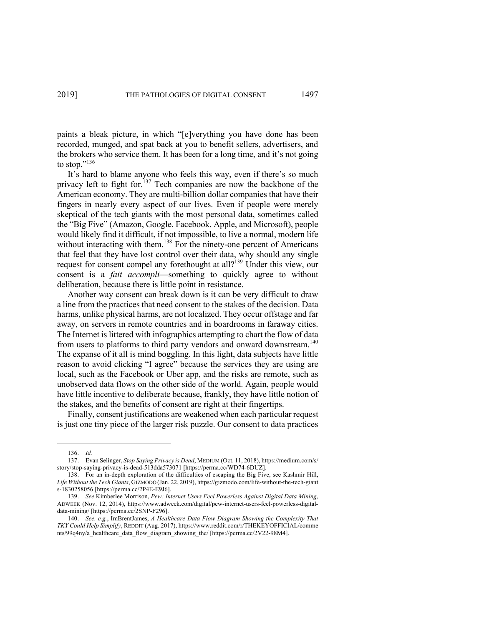paints a bleak picture, in which "[e]verything you have done has been recorded, munged, and spat back at you to benefit sellers, advertisers, and the brokers who service them. It has been for a long time, and it's not going to stop."<sup>136</sup>

It's hard to blame anyone who feels this way, even if there's so much privacy left to fight for.<sup>137</sup> Tech companies are now the backbone of the American economy. They are multi-billion dollar companies that have their fingers in nearly every aspect of our lives. Even if people were merely skeptical of the tech giants with the most personal data, sometimes called the "Big Five" (Amazon, Google, Facebook, Apple, and Microsoft), people would likely find it difficult, if not impossible, to live a normal, modern life without interacting with them.<sup>138</sup> For the ninety-one percent of Americans that feel that they have lost control over their data, why should any single request for consent compel any forethought at all?<sup>139</sup> Under this view, our consent is a *fait accompli*—something to quickly agree to without deliberation, because there is little point in resistance.

Another way consent can break down is it can be very difficult to draw a line from the practices that need consent to the stakes of the decision. Data harms, unlike physical harms, are not localized. They occur offstage and far away, on servers in remote countries and in boardrooms in faraway cities. The Internet is littered with infographics attempting to chart the flow of data from users to platforms to third party vendors and onward downstream.<sup>140</sup> The expanse of it all is mind boggling. In this light, data subjects have little reason to avoid clicking "I agree" because the services they are using are local, such as the Facebook or Uber app, and the risks are remote, such as unobserved data flows on the other side of the world. Again, people would have little incentive to deliberate because, frankly, they have little notion of the stakes, and the benefits of consent are right at their fingertips.

Finally, consent justifications are weakened when each particular request is just one tiny piece of the larger risk puzzle. Our consent to data practices

<sup>136.</sup> *Id.*

<sup>137.</sup> Evan Selinger, *Stop Saying Privacy is Dead*, MEDIUM (Oct. 11, 2018), https://medium.com/s/ story/stop-saying-privacy-is-dead-513dda573071 [https://perma.cc/WD74-6DUZ].

<sup>138.</sup> For an in-depth exploration of the difficulties of escaping the Big Five, see Kashmir Hill, *Life Without the Tech Giants*, GIZMODO (Jan. 22, 2019), https://gizmodo.com/life-without-the-tech-giant s-1830258056 [https://perma.cc/2P4E-E9J6].

<sup>139.</sup> *See* Kimberlee Morrison, *Pew: Internet Users Feel Powerless Against Digital Data Mining*, ADWEEK (Nov. 12, 2014), https://www.adweek.com/digital/pew-internet-users-feel-powerless-digitaldata-mining/ [https://perma.cc/2SNP-F296].

<sup>140.</sup> *See, e.g.*, ImBrentJames, *A Healthcare Data Flow Diagram Showing the Complexity That TKY Could Help Simplify*, REDDIT (Aug. 2017), https://www.reddit.com/r/THEKEYOFFICIAL/comme nts/99q4ny/a\_healthcare\_data\_flow\_diagram\_showing\_the/ [https://perma.cc/2V22-98M4].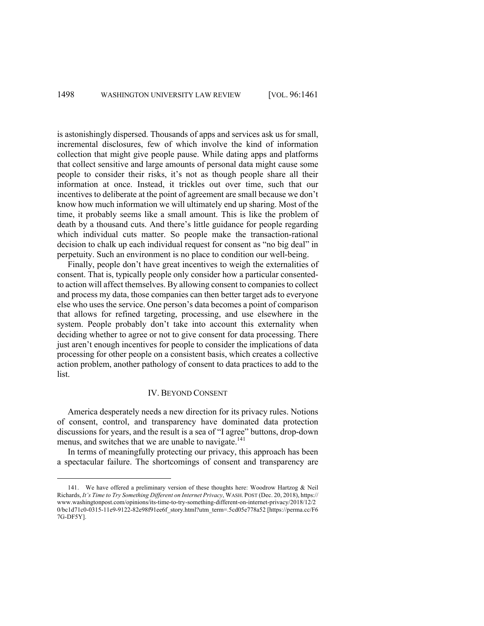is astonishingly dispersed. Thousands of apps and services ask us for small, incremental disclosures, few of which involve the kind of information collection that might give people pause. While dating apps and platforms that collect sensitive and large amounts of personal data might cause some people to consider their risks, it's not as though people share all their information at once. Instead, it trickles out over time, such that our incentives to deliberate at the point of agreement are small because we don't know how much information we will ultimately end up sharing. Most of the time, it probably seems like a small amount. This is like the problem of death by a thousand cuts. And there's little guidance for people regarding which individual cuts matter. So people make the transaction-rational decision to chalk up each individual request for consent as "no big deal" in perpetuity. Such an environment is no place to condition our well-being.

Finally, people don't have great incentives to weigh the externalities of consent. That is, typically people only consider how a particular consentedto action will affect themselves. By allowing consent to companies to collect and process my data, those companies can then better target ads to everyone else who uses the service. One person's data becomes a point of comparison that allows for refined targeting, processing, and use elsewhere in the system. People probably don't take into account this externality when deciding whether to agree or not to give consent for data processing. There just aren't enough incentives for people to consider the implications of data processing for other people on a consistent basis, which creates a collective action problem, another pathology of consent to data practices to add to the list.

### IV. BEYOND CONSENT

America desperately needs a new direction for its privacy rules. Notions of consent, control, and transparency have dominated data protection discussions for years, and the result is a sea of "I agree" buttons, drop-down menus, and switches that we are unable to navigate.<sup>141</sup>

In terms of meaningfully protecting our privacy, this approach has been a spectacular failure. The shortcomings of consent and transparency are

<sup>141.</sup> We have offered a preliminary version of these thoughts here: Woodrow Hartzog & Neil Richards, *It's Time to Try Something Different on Internet Privacy*, WASH. POST (Dec. 20, 2018), https:// www.washingtonpost.com/opinions/its-time-to-try-something-different-on-internet-privacy/2018/12/2 0/bc1d71c0-0315-11e9-9122-82e98f91ee6f\_story.html?utm\_term=.5cd05e778a52 [https://perma.cc/F6 7G-DF5Y].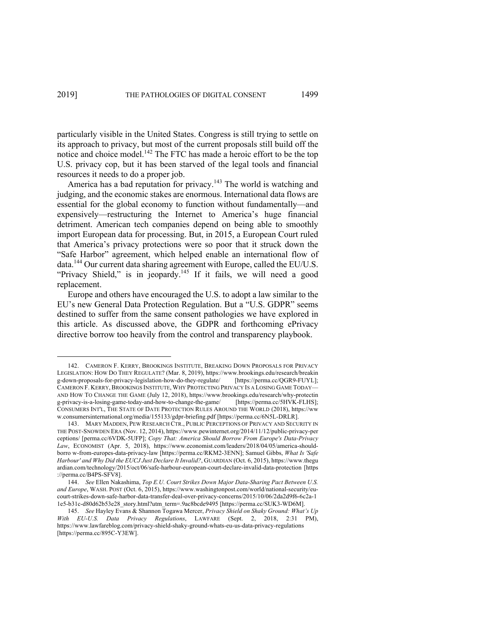particularly visible in the United States. Congress is still trying to settle on its approach to privacy, but most of the current proposals still build off the notice and choice model.<sup>142</sup> The FTC has made a heroic effort to be the top U.S. privacy cop, but it has been starved of the legal tools and financial resources it needs to do a proper job.

America has a bad reputation for privacy.<sup>143</sup> The world is watching and judging, and the economic stakes are enormous. International data flows are essential for the global economy to function without fundamentally—and expensively—restructuring the Internet to America's huge financial detriment. American tech companies depend on being able to smoothly import European data for processing. But, in 2015, a European Court ruled that America's privacy protections were so poor that it struck down the "Safe Harbor" agreement, which helped enable an international flow of data.<sup>144</sup> Our current data sharing agreement with Europe, called the EU/U.S. "Privacy Shield," is in jeopardy.<sup>145</sup> If it fails, we will need a good replacement.

Europe and others have encouraged the U.S. to adopt a law similar to the EU's new General Data Protection Regulation. But a "U.S. GDPR" seems destined to suffer from the same consent pathologies we have explored in this article. As discussed above, the GDPR and forthcoming ePrivacy directive borrow too heavily from the control and transparency playbook.

<sup>142.</sup> CAMERON F. KERRY, BROOKINGS INSTITUTE, BREAKING DOWN PROPOSALS FOR PRIVACY LEGISLATION: HOW DO THEY REGULATE? (Mar. 8, 2019), https://www.brookings.edu/research/breakin g-down-proposals-for-privacy-legislation-how-do-they-regulate/ [https://perma.cc/QGR9-FUYL]; CAMERON F. KERRY, BROOKINGS INSTITUTE, WHY PROTECTING PRIVACY IS A LOSING GAME TODAY— AND HOW TO CHANGE THE GAME (July 12, 2018), https://www.brookings.edu/research/why-protectin g-privacy-is-a-losing-game-today-and-how-to-change-the-game/ [https://perma.cc/5HVK-FLHS]; CONSUMERS INT'L, THE STATE OF DATE PROTECTION RULES AROUND THE WORLD (2018), https://ww w.consumersinternational.org/media/155133/gdpr-briefing.pdf [https://perma.cc/6N5L-DRLR].

<sup>143.</sup> MARY MADDEN, PEW RESEARCH CTR., PUBLIC PERCEPTIONS OF PRIVACY AND SECURITY IN THE POST-SNOWDEN ERA (Nov. 12, 2014), https://www.pewinternet.org/2014/11/12/public-privacy-per ceptions/ [perma.cc/6VDK-5UFP]; *Copy That: America Should Borrow From Europe's Data-Privacy Law*, ECONOMIST (Apr. 5, 2018), https://www.economist.com/leaders/2018/04/05/america-shouldborro w-from-europes-data-privacy-law [https://perma.cc/RKM2-3ENN]; Samuel Gibbs, *What Is 'Safe Harbour' and Why Did the EUCJ Just Declare It Invalid?*, GUARDIAN (Oct. 6, 2015), https://www.thegu ardian.com/technology/2015/oct/06/safe-harbour-european-court-declare-invalid-data-protection [https ://perma.cc/B4PS-SFV8].

<sup>144.</sup> *See* Ellen Nakashima, *Top E.U. Court Strikes Down Major Data-Sharing Pact Between U.S. and Europe*, WASH. POST (Oct. 6, 2015), https://www.washingtonpost.com/world/national-security/eucourt-strikes-down-safe-harbor-data-transfer-deal-over-privacy-concerns/2015/10/06/2da2d9f6-6c2a-1 1e5-b31c-d80d62b53e28\_story.html?utm\_term=.9ac8bcde9495 [https://perma.cc/SUK3-WD6M].

<sup>145.</sup> *See* Hayley Evans & Shannon Togawa Mercer, *Privacy Shield on Shaky Ground: What's Up With EU-U.S. Data Privacy Regulations*, LAWFARE (Sept. 2, 2018, 2:31 PM), https://www.lawfareblog.com/privacy-shield-shaky-ground-whats-eu-us-data-privacy-regulations [https://perma.cc/895C-Y3EW].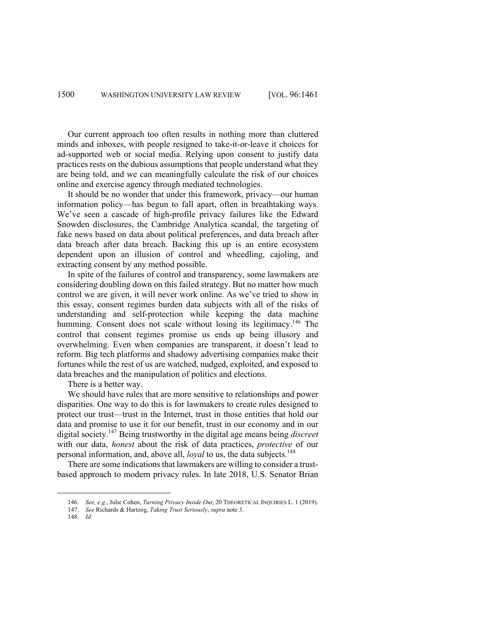Our current approach too often results in nothing more than cluttered minds and inboxes, with people resigned to take-it-or-leave it choices for ad-supported web or social media. Relying upon consent to justify data practices rests on the dubious assumptions that people understand what they are being told, and we can meaningfully calculate the risk of our choices online and exercise agency through mediated technologies.

It should be no wonder that under this framework, privacy—our human information policy—has begun to fall apart, often in breathtaking ways. We've seen a cascade of high-profile privacy failures like the Edward Snowden disclosures, the Cambridge Analytica scandal, the targeting of fake news based on data about political preferences, and data breach after data breach after data breach. Backing this up is an entire ecosystem dependent upon an illusion of control and wheedling, cajoling, and extracting consent by any method possible.

In spite of the failures of control and transparency, some lawmakers are considering doubling down on this failed strategy. But no matter how much control we are given, it will never work online. As we've tried to show in this essay, consent regimes burden data subjects with all of the risks of understanding and self-protection while keeping the data machine humming. Consent does not scale without losing its legitimacy.<sup>146</sup> The control that consent regimes promise us ends up being illusory and overwhelming. Even when companies are transparent, it doesn't lead to reform. Big tech platforms and shadowy advertising companies make their fortunes while the rest of us are watched, nudged, exploited, and exposed to data breaches and the manipulation of politics and elections.

There is a better way.

We should have rules that are more sensitive to relationships and power disparities. One way to do this is for lawmakers to create rules designed to protect our trust—trust in the Internet, trust in those entities that hold our data and promise to use it for our benefit, trust in our economy and in our digital society.147 Being trustworthy in the digital age means being *discreet*  with our data, *honest* about the risk of data practices, *protective* of our personal information, and, above all, *loyal* to us, the data subjects.<sup>148</sup>

There are some indications that lawmakers are willing to consider a trustbased approach to modern privacy rules. In late 2018, U.S. Senator Brian

<sup>146.</sup> *See, e.g.*, Julie Cohen, *Turning Privacy Inside Out*, 20 THEORETICAL INQUIRIES L. 1 (2019).

<sup>147.</sup> *See* Richards & Hartzog, *Taking Trust Seriously*, *supra* note 3.

<sup>148.</sup> *Id.*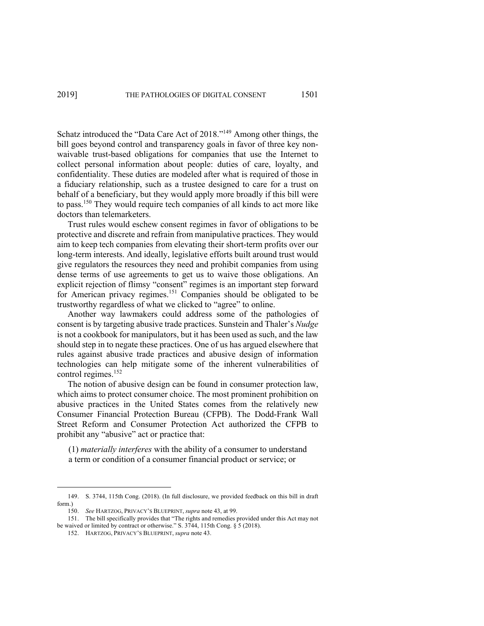Schatz introduced the "Data Care Act of 2018."149 Among other things, the bill goes beyond control and transparency goals in favor of three key nonwaivable trust-based obligations for companies that use the Internet to collect personal information about people: duties of care, loyalty, and confidentiality. These duties are modeled after what is required of those in a fiduciary relationship, such as a trustee designed to care for a trust on behalf of a beneficiary, but they would apply more broadly if this bill were to pass.150 They would require tech companies of all kinds to act more like doctors than telemarketers.

Trust rules would eschew consent regimes in favor of obligations to be protective and discrete and refrain from manipulative practices. They would aim to keep tech companies from elevating their short-term profits over our long-term interests. And ideally, legislative efforts built around trust would give regulators the resources they need and prohibit companies from using dense terms of use agreements to get us to waive those obligations. An explicit rejection of flimsy "consent" regimes is an important step forward for American privacy regimes.<sup>151</sup> Companies should be obligated to be trustworthy regardless of what we clicked to "agree" to online.

Another way lawmakers could address some of the pathologies of consent is by targeting abusive trade practices. Sunstein and Thaler's *Nudge* is not a cookbook for manipulators, but it has been used as such, and the law should step in to negate these practices. One of us has argued elsewhere that rules against abusive trade practices and abusive design of information technologies can help mitigate some of the inherent vulnerabilities of control regimes.<sup>152</sup>

The notion of abusive design can be found in consumer protection law, which aims to protect consumer choice. The most prominent prohibition on abusive practices in the United States comes from the relatively new Consumer Financial Protection Bureau (CFPB). The Dodd-Frank Wall Street Reform and Consumer Protection Act authorized the CFPB to prohibit any "abusive" act or practice that:

(1) *materially interferes* with the ability of a consumer to understand a term or condition of a consumer financial product or service; or

<sup>149.</sup> S. 3744, 115th Cong. (2018). (In full disclosure, we provided feedback on this bill in draft form.)

<sup>150.</sup> *See* HARTZOG, PRIVACY'S BLUEPRINT, *supra* note 43, at 99.

<sup>151.</sup> The bill specifically provides that "The rights and remedies provided under this Act may not be waived or limited by contract or otherwise." S. 3744, 115th Cong. § 5 (2018).

<sup>152.</sup> HARTZOG, PRIVACY'S BLUEPRINT, *supra* note 43.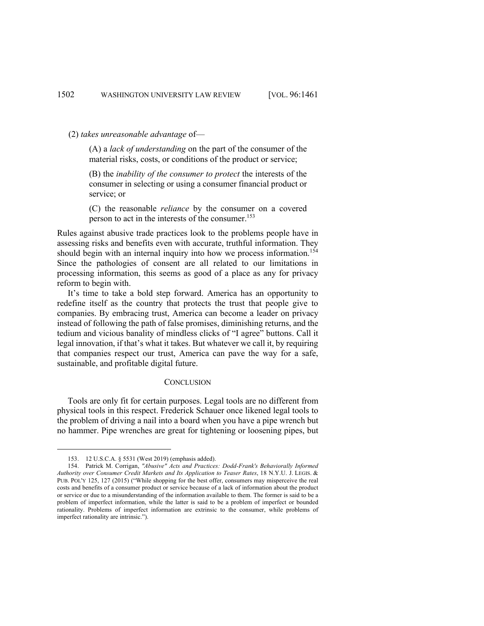(2) *takes unreasonable advantage* of—

(A) a *lack of understanding* on the part of the consumer of the material risks, costs, or conditions of the product or service;

(B) the *inability of the consumer to protect* the interests of the consumer in selecting or using a consumer financial product or service; or

(C) the reasonable *reliance* by the consumer on a covered person to act in the interests of the consumer.<sup>153</sup>

Rules against abusive trade practices look to the problems people have in assessing risks and benefits even with accurate, truthful information. They should begin with an internal inquiry into how we process information.<sup>154</sup> Since the pathologies of consent are all related to our limitations in processing information, this seems as good of a place as any for privacy reform to begin with.

It's time to take a bold step forward. America has an opportunity to redefine itself as the country that protects the trust that people give to companies. By embracing trust, America can become a leader on privacy instead of following the path of false promises, diminishing returns, and the tedium and vicious banality of mindless clicks of "I agree" buttons. Call it legal innovation, if that's what it takes. But whatever we call it, by requiring that companies respect our trust, America can pave the way for a safe, sustainable, and profitable digital future.

### **CONCLUSION**

Tools are only fit for certain purposes. Legal tools are no different from physical tools in this respect. Frederick Schauer once likened legal tools to the problem of driving a nail into a board when you have a pipe wrench but no hammer. Pipe wrenches are great for tightening or loosening pipes, but

<sup>153.</sup> 12 U.S.C.A. § 5531 (West 2019) (emphasis added).

<sup>154.</sup> Patrick M. Corrigan, *"Abusive" Acts and Practices: Dodd-Frank's Behaviorally Informed Authority over Consumer Credit Markets and Its Application to Teaser Rates*, 18 N.Y.U. J. LEGIS. & PUB. POL'Y 125, 127 (2015) ("While shopping for the best offer, consumers may misperceive the real costs and benefits of a consumer product or service because of a lack of information about the product or service or due to a misunderstanding of the information available to them. The former is said to be a problem of imperfect information, while the latter is said to be a problem of imperfect or bounded rationality. Problems of imperfect information are extrinsic to the consumer, while problems of imperfect rationality are intrinsic.").